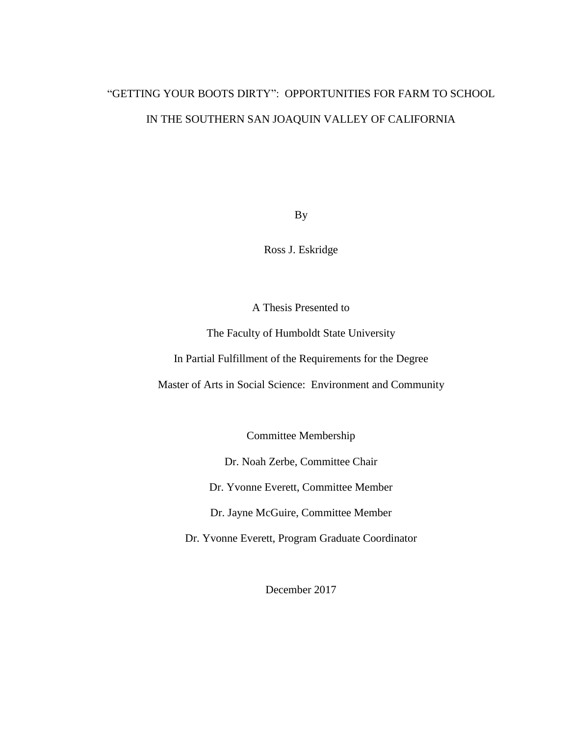# "GETTING YOUR BOOTS DIRTY": OPPORTUNITIES FOR FARM TO SCHOOL IN THE SOUTHERN SAN JOAQUIN VALLEY OF CALIFORNIA

By

Ross J. Eskridge

A Thesis Presented to

The Faculty of Humboldt State University

In Partial Fulfillment of the Requirements for the Degree

Master of Arts in Social Science: Environment and Community

Committee Membership

Dr. Noah Zerbe, Committee Chair

Dr. Yvonne Everett, Committee Member

Dr. Jayne McGuire, Committee Member

Dr. Yvonne Everett, Program Graduate Coordinator

December 2017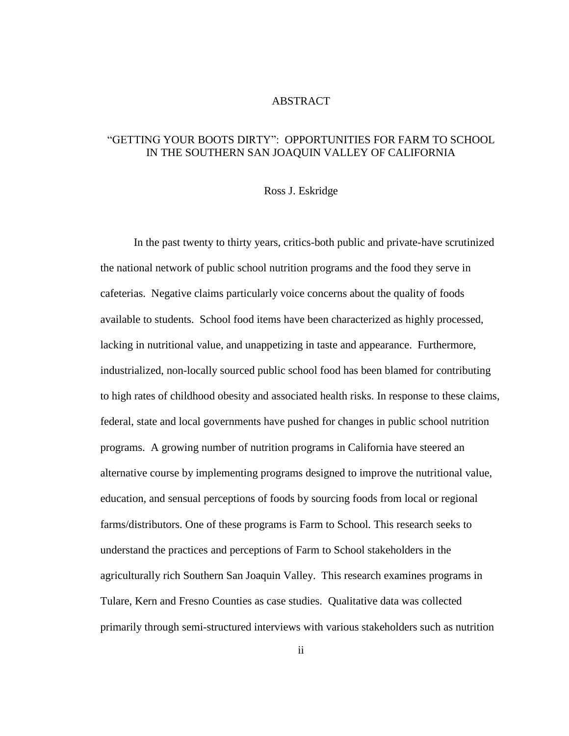### ABSTRACT

### <span id="page-1-0"></span>"GETTING YOUR BOOTS DIRTY": OPPORTUNITIES FOR FARM TO SCHOOL IN THE SOUTHERN SAN JOAQUIN VALLEY OF CALIFORNIA

### Ross J. Eskridge

In the past twenty to thirty years, critics-both public and private-have scrutinized the national network of public school nutrition programs and the food they serve in cafeterias. Negative claims particularly voice concerns about the quality of foods available to students. School food items have been characterized as highly processed, lacking in nutritional value, and unappetizing in taste and appearance. Furthermore, industrialized, non-locally sourced public school food has been blamed for contributing to high rates of childhood obesity and associated health risks. In response to these claims, federal, state and local governments have pushed for changes in public school nutrition programs. A growing number of nutrition programs in California have steered an alternative course by implementing programs designed to improve the nutritional value, education, and sensual perceptions of foods by sourcing foods from local or regional farms/distributors. One of these programs is Farm to School*.* This research seeks to understand the practices and perceptions of Farm to School stakeholders in the agriculturally rich Southern San Joaquin Valley. This research examines programs in Tulare, Kern and Fresno Counties as case studies. Qualitative data was collected primarily through semi-structured interviews with various stakeholders such as nutrition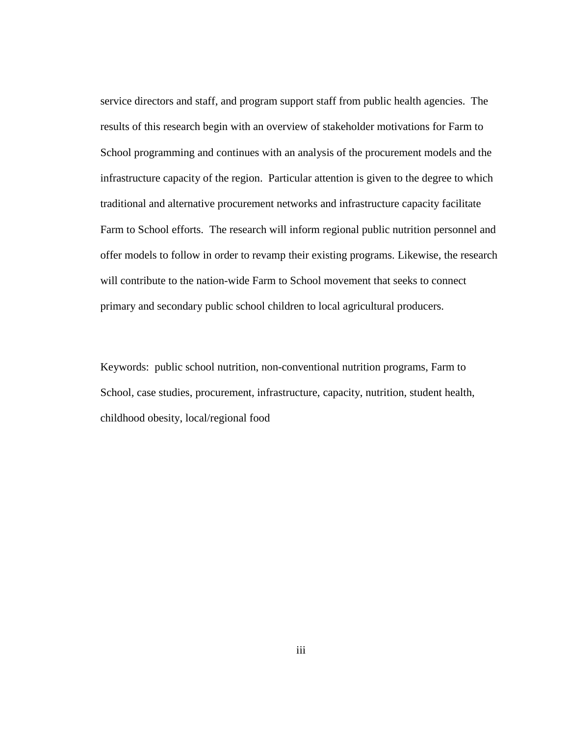service directors and staff, and program support staff from public health agencies. The results of this research begin with an overview of stakeholder motivations for Farm to School programming and continues with an analysis of the procurement models and the infrastructure capacity of the region. Particular attention is given to the degree to which traditional and alternative procurement networks and infrastructure capacity facilitate Farm to School efforts. The research will inform regional public nutrition personnel and offer models to follow in order to revamp their existing programs. Likewise, the research will contribute to the nation-wide Farm to School movement that seeks to connect primary and secondary public school children to local agricultural producers.

Keywords: public school nutrition, non-conventional nutrition programs, Farm to School*,* case studies, procurement, infrastructure, capacity, nutrition, student health, childhood obesity, local/regional food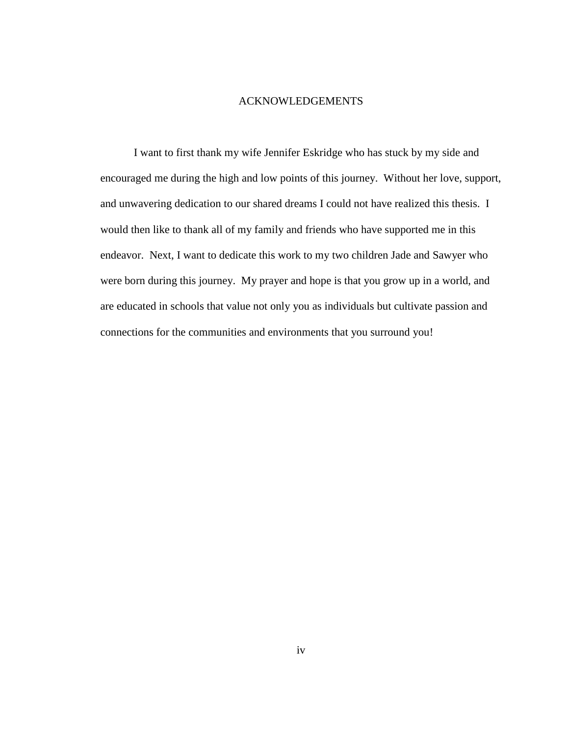### ACKNOWLEDGEMENTS

<span id="page-3-0"></span>I want to first thank my wife Jennifer Eskridge who has stuck by my side and encouraged me during the high and low points of this journey. Without her love, support, and unwavering dedication to our shared dreams I could not have realized this thesis. I would then like to thank all of my family and friends who have supported me in this endeavor. Next, I want to dedicate this work to my two children Jade and Sawyer who were born during this journey. My prayer and hope is that you grow up in a world, and are educated in schools that value not only you as individuals but cultivate passion and connections for the communities and environments that you surround you!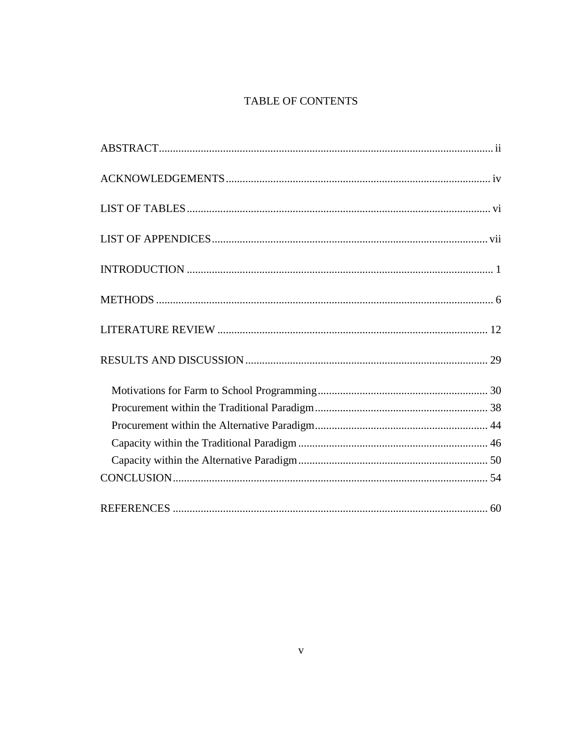## TABLE OF CONTENTS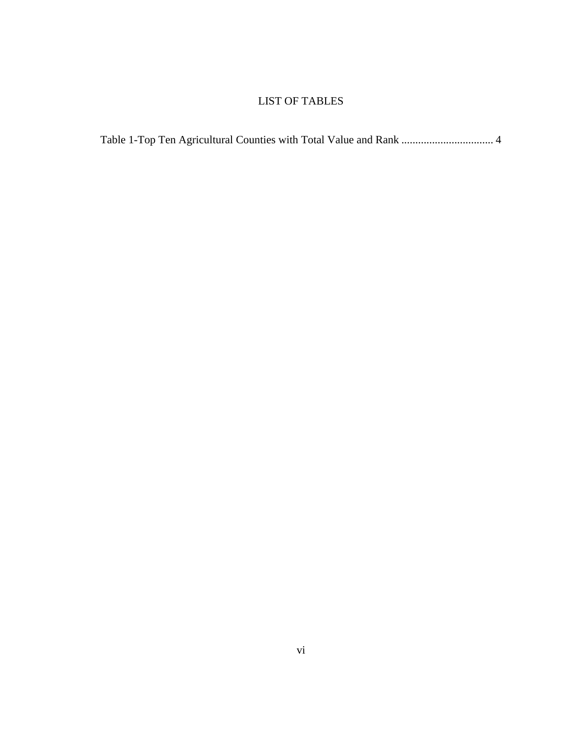### LIST OF TABLES

<span id="page-5-0"></span>

| Table 1-Top Ten Agricultural Counties with Total Value and Rank  4 |  |
|--------------------------------------------------------------------|--|
|--------------------------------------------------------------------|--|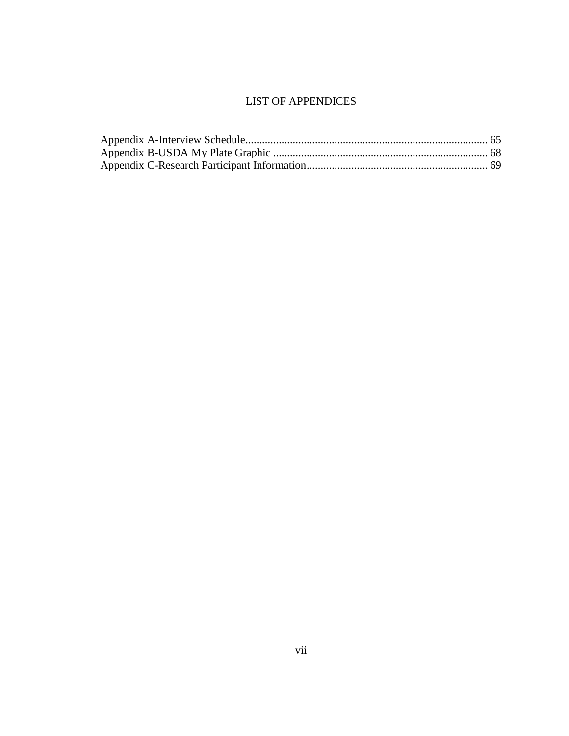### LIST OF APPENDICES

<span id="page-6-0"></span>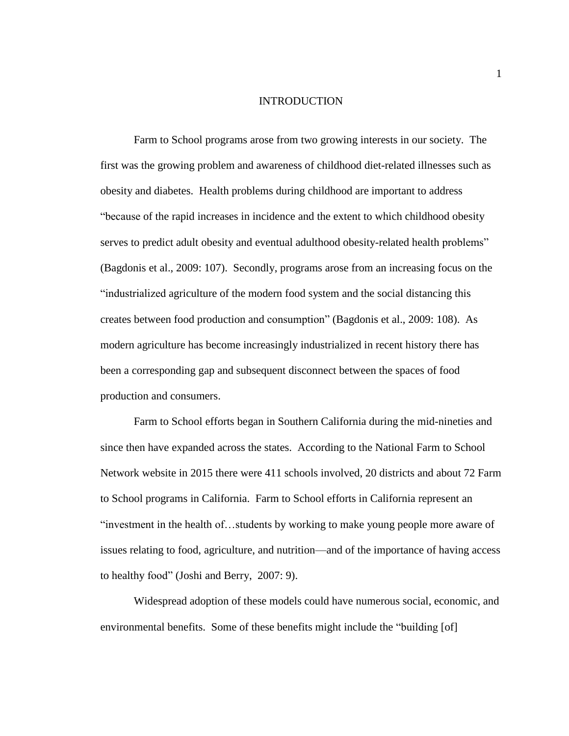#### INTRODUCTION

<span id="page-7-0"></span>Farm to School programs arose from two growing interests in our society. The first was the growing problem and awareness of childhood diet-related illnesses such as obesity and diabetes. Health problems during childhood are important to address "because of the rapid increases in incidence and the extent to which childhood obesity serves to predict adult obesity and eventual adulthood obesity-related health problems" (Bagdonis et al., 2009: 107). Secondly, programs arose from an increasing focus on the "industrialized agriculture of the modern food system and the social distancing this creates between food production and consumption" (Bagdonis et al., 2009: 108). As modern agriculture has become increasingly industrialized in recent history there has been a corresponding gap and subsequent disconnect between the spaces of food production and consumers.

Farm to School efforts began in Southern California during the mid-nineties and since then have expanded across the states. According to the National Farm to School Network website in 2015 there were 411 schools involved, 20 districts and about 72 Farm to School programs in California. Farm to School efforts in California represent an "investment in the health of…students by working to make young people more aware of issues relating to food, agriculture, and nutrition—and of the importance of having access to healthy food" (Joshi and Berry, 2007: 9).

Widespread adoption of these models could have numerous social, economic, and environmental benefits. Some of these benefits might include the "building [of]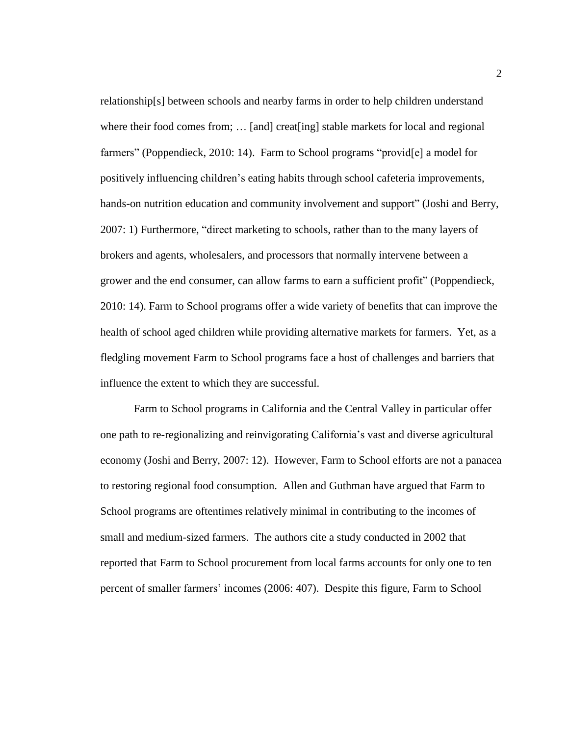relationship[s] between schools and nearby farms in order to help children understand where their food comes from; ... [and] creat[ing] stable markets for local and regional farmers" (Poppendieck, 2010: 14). Farm to School programs "provid[e] a model for positively influencing children's eating habits through school cafeteria improvements, hands-on nutrition education and community involvement and support" (Joshi and Berry, 2007: 1) Furthermore, "direct marketing to schools, rather than to the many layers of brokers and agents, wholesalers, and processors that normally intervene between a grower and the end consumer, can allow farms to earn a sufficient profit" (Poppendieck, 2010: 14). Farm to School programs offer a wide variety of benefits that can improve the health of school aged children while providing alternative markets for farmers. Yet, as a fledgling movement Farm to School programs face a host of challenges and barriers that influence the extent to which they are successful.

Farm to School programs in California and the Central Valley in particular offer one path to re-regionalizing and reinvigorating California's vast and diverse agricultural economy (Joshi and Berry, 2007: 12). However, Farm to School efforts are not a panacea to restoring regional food consumption. Allen and Guthman have argued that Farm to School programs are oftentimes relatively minimal in contributing to the incomes of small and medium-sized farmers. The authors cite a study conducted in 2002 that reported that Farm to School procurement from local farms accounts for only one to ten percent of smaller farmers' incomes (2006: 407). Despite this figure, Farm to School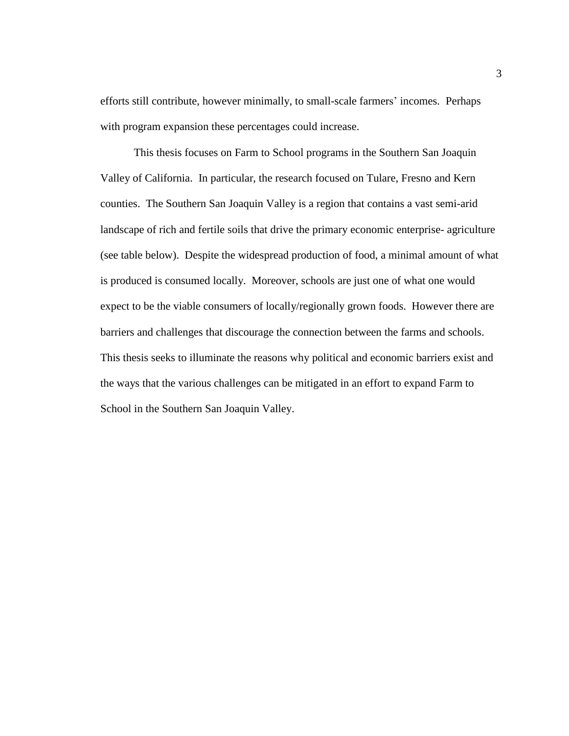efforts still contribute, however minimally, to small-scale farmers' incomes. Perhaps with program expansion these percentages could increase.

This thesis focuses on Farm to School programs in the Southern San Joaquin Valley of California. In particular, the research focused on Tulare, Fresno and Kern counties. The Southern San Joaquin Valley is a region that contains a vast semi-arid landscape of rich and fertile soils that drive the primary economic enterprise- agriculture (see table below). Despite the widespread production of food, a minimal amount of what is produced is consumed locally. Moreover, schools are just one of what one would expect to be the viable consumers of locally/regionally grown foods. However there are barriers and challenges that discourage the connection between the farms and schools. This thesis seeks to illuminate the reasons why political and economic barriers exist and the ways that the various challenges can be mitigated in an effort to expand Farm to School in the Southern San Joaquin Valley.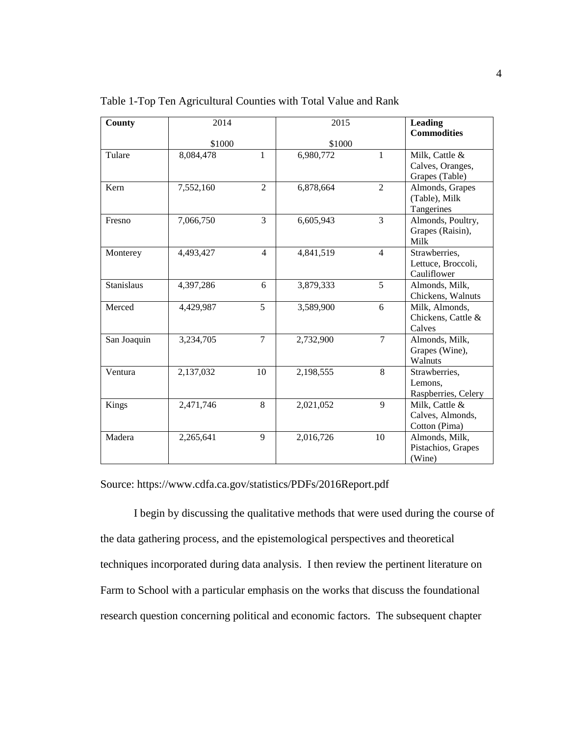| County            | 2014      |                | 2015      |                | <b>Leading</b><br><b>Commodities</b>                 |
|-------------------|-----------|----------------|-----------|----------------|------------------------------------------------------|
|                   | \$1000    |                | \$1000    |                |                                                      |
| Tulare            | 8,084,478 | 1              | 6,980,772 | 1              | Milk, Cattle &<br>Calves, Oranges,<br>Grapes (Table) |
| Kern              | 7,552,160 | $\overline{2}$ | 6,878,664 | $\overline{2}$ | Almonds, Grapes<br>(Table), Milk<br>Tangerines       |
| Fresno            | 7,066,750 | $\overline{3}$ | 6,605,943 | $\overline{3}$ | Almonds, Poultry,<br>Grapes (Raisin),<br>Milk        |
| Monterey          | 4,493,427 | $\overline{4}$ | 4,841,519 | $\overline{4}$ | Strawberries,<br>Lettuce, Broccoli,<br>Cauliflower   |
| <b>Stanislaus</b> | 4,397,286 | 6              | 3,879,333 | 5              | Almonds, Milk,<br>Chickens, Walnuts                  |
| Merced            | 4,429,987 | 5              | 3,589,900 | 6              | Milk, Almonds,<br>Chickens, Cattle &<br>Calves       |
| San Joaquin       | 3,234,705 | $\overline{7}$ | 2,732,900 | $\overline{7}$ | Almonds, Milk,<br>Grapes (Wine),<br>Walnuts          |
| Ventura           | 2,137,032 | 10             | 2,198,555 | 8              | Strawberries,<br>Lemons,<br>Raspberries, Celery      |
| Kings             | 2,471,746 | 8              | 2,021,052 | 9              | Milk, Cattle &<br>Calves, Almonds,<br>Cotton (Pima)  |
| Madera            | 2,265,641 | 9              | 2,016,726 | 10             | Almonds, Milk,<br>Pistachios, Grapes<br>(Wine)       |

<span id="page-10-0"></span>Table 1-Top Ten Agricultural Counties with Total Value and Rank

Source: https://www.cdfa.ca.gov/statistics/PDFs/2016Report.pdf

I begin by discussing the qualitative methods that were used during the course of the data gathering process, and the epistemological perspectives and theoretical techniques incorporated during data analysis. I then review the pertinent literature on Farm to School with a particular emphasis on the works that discuss the foundational research question concerning political and economic factors. The subsequent chapter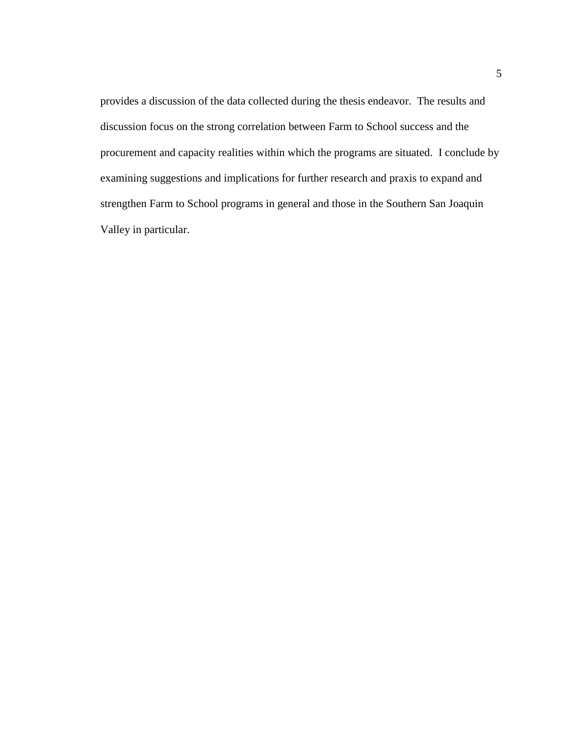provides a discussion of the data collected during the thesis endeavor. The results and discussion focus on the strong correlation between Farm to School success and the procurement and capacity realities within which the programs are situated. I conclude by examining suggestions and implications for further research and praxis to expand and strengthen Farm to School programs in general and those in the Southern San Joaquin Valley in particular.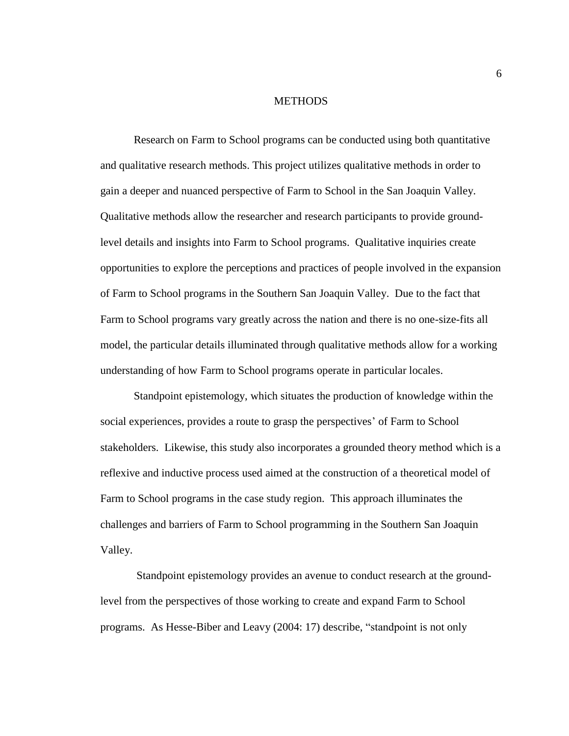### **METHODS**

<span id="page-12-0"></span>Research on Farm to School programs can be conducted using both quantitative and qualitative research methods. This project utilizes qualitative methods in order to gain a deeper and nuanced perspective of Farm to School in the San Joaquin Valley. Qualitative methods allow the researcher and research participants to provide groundlevel details and insights into Farm to School programs. Qualitative inquiries create opportunities to explore the perceptions and practices of people involved in the expansion of Farm to School programs in the Southern San Joaquin Valley. Due to the fact that Farm to School programs vary greatly across the nation and there is no one-size-fits all model, the particular details illuminated through qualitative methods allow for a working understanding of how Farm to School programs operate in particular locales.

Standpoint epistemology, which situates the production of knowledge within the social experiences, provides a route to grasp the perspectives' of Farm to School stakeholders. Likewise, this study also incorporates a grounded theory method which is a reflexive and inductive process used aimed at the construction of a theoretical model of Farm to School programs in the case study region. This approach illuminates the challenges and barriers of Farm to School programming in the Southern San Joaquin Valley.

Standpoint epistemology provides an avenue to conduct research at the groundlevel from the perspectives of those working to create and expand Farm to School programs. As Hesse-Biber and Leavy (2004: 17) describe, "standpoint is not only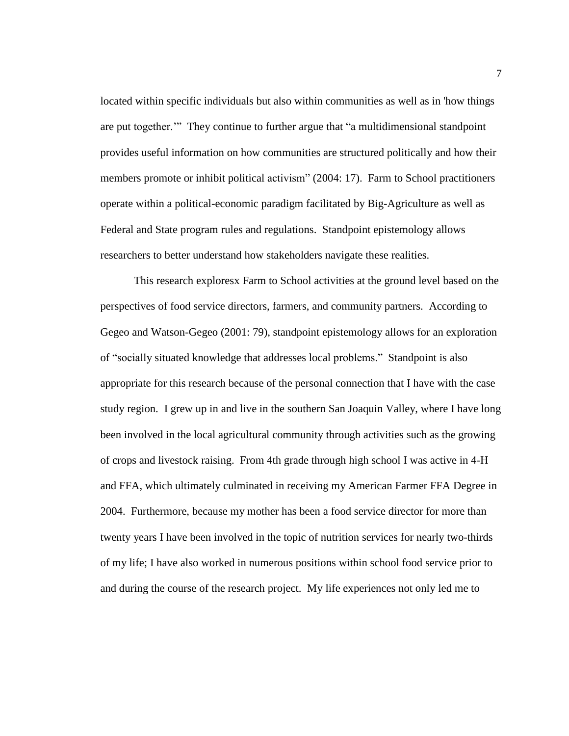located within specific individuals but also within communities as well as in 'how things are put together.'" They continue to further argue that "a multidimensional standpoint provides useful information on how communities are structured politically and how their members promote or inhibit political activism" (2004: 17). Farm to School practitioners operate within a political-economic paradigm facilitated by Big-Agriculture as well as Federal and State program rules and regulations. Standpoint epistemology allows researchers to better understand how stakeholders navigate these realities.

This research exploresx Farm to School activities at the ground level based on the perspectives of food service directors, farmers, and community partners. According to Gegeo and Watson-Gegeo (2001: 79), standpoint epistemology allows for an exploration of "socially situated knowledge that addresses local problems." Standpoint is also appropriate for this research because of the personal connection that I have with the case study region. I grew up in and live in the southern San Joaquin Valley, where I have long been involved in the local agricultural community through activities such as the growing of crops and livestock raising. From 4th grade through high school I was active in 4-H and FFA, which ultimately culminated in receiving my American Farmer FFA Degree in 2004. Furthermore, because my mother has been a food service director for more than twenty years I have been involved in the topic of nutrition services for nearly two-thirds of my life; I have also worked in numerous positions within school food service prior to and during the course of the research project. My life experiences not only led me to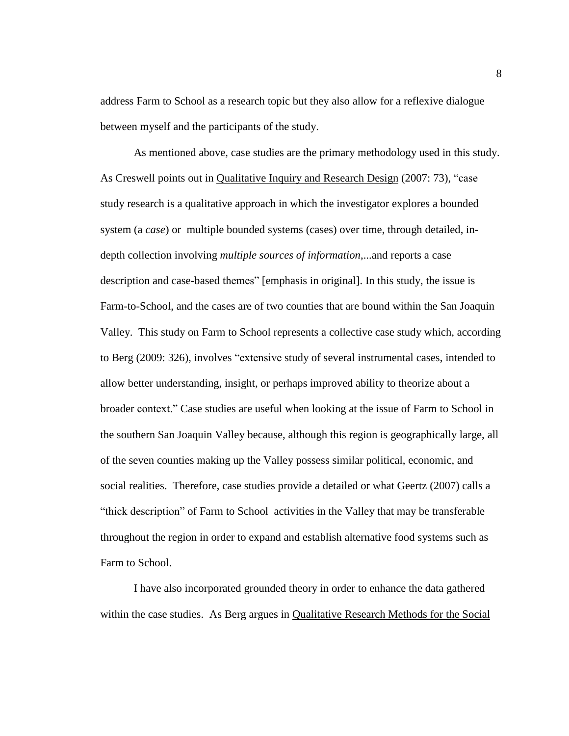address Farm to School as a research topic but they also allow for a reflexive dialogue between myself and the participants of the study.

As mentioned above, case studies are the primary methodology used in this study. As Creswell points out in Qualitative Inquiry and Research Design (2007: 73), "case study research is a qualitative approach in which the investigator explores a bounded system (a *case*) or multiple bounded systems (cases) over time, through detailed, indepth collection involving *multiple sources of information*,...and reports a case description and case-based themes" [emphasis in original]. In this study, the issue is Farm-to-School, and the cases are of two counties that are bound within the San Joaquin Valley. This study on Farm to School represents a collective case study which, according to Berg (2009: 326), involves "extensive study of several instrumental cases, intended to allow better understanding, insight, or perhaps improved ability to theorize about a broader context." Case studies are useful when looking at the issue of Farm to School in the southern San Joaquin Valley because, although this region is geographically large, all of the seven counties making up the Valley possess similar political, economic, and social realities. Therefore, case studies provide a detailed or what Geertz (2007) calls a "thick description" of Farm to School activities in the Valley that may be transferable throughout the region in order to expand and establish alternative food systems such as Farm to School.

I have also incorporated grounded theory in order to enhance the data gathered within the case studies. As Berg argues in Qualitative Research Methods for the Social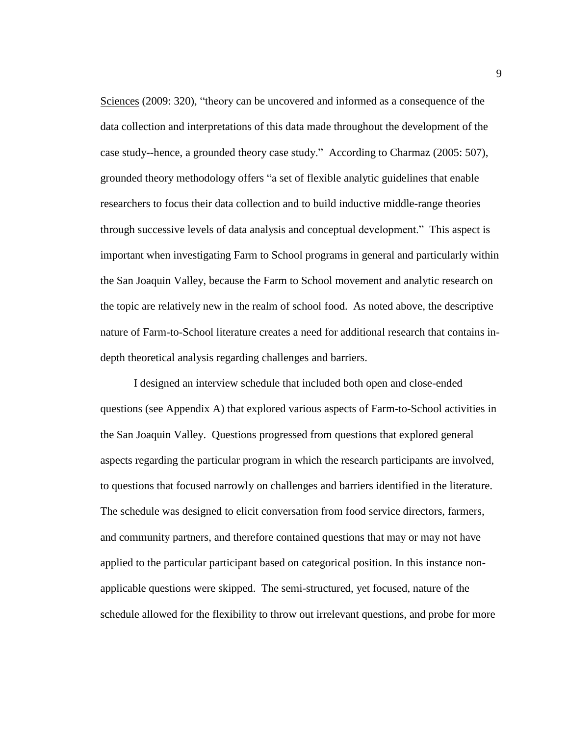Sciences (2009: 320), "theory can be uncovered and informed as a consequence of the data collection and interpretations of this data made throughout the development of the case study--hence, a grounded theory case study." According to Charmaz (2005: 507), grounded theory methodology offers "a set of flexible analytic guidelines that enable researchers to focus their data collection and to build inductive middle-range theories through successive levels of data analysis and conceptual development." This aspect is important when investigating Farm to School programs in general and particularly within the San Joaquin Valley, because the Farm to School movement and analytic research on the topic are relatively new in the realm of school food. As noted above, the descriptive nature of Farm-to-School literature creates a need for additional research that contains indepth theoretical analysis regarding challenges and barriers.

I designed an interview schedule that included both open and close-ended questions (see Appendix A) that explored various aspects of Farm-to-School activities in the San Joaquin Valley. Questions progressed from questions that explored general aspects regarding the particular program in which the research participants are involved, to questions that focused narrowly on challenges and barriers identified in the literature. The schedule was designed to elicit conversation from food service directors, farmers, and community partners, and therefore contained questions that may or may not have applied to the particular participant based on categorical position. In this instance nonapplicable questions were skipped. The semi-structured, yet focused, nature of the schedule allowed for the flexibility to throw out irrelevant questions, and probe for more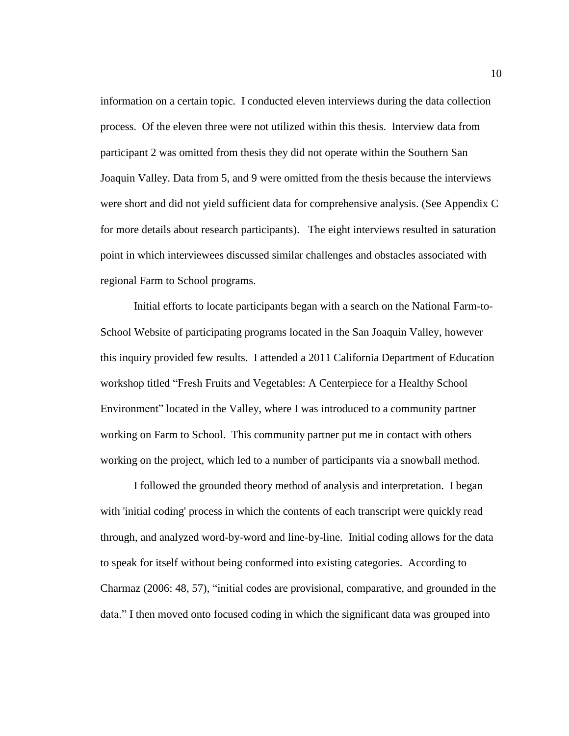information on a certain topic. I conducted eleven interviews during the data collection process. Of the eleven three were not utilized within this thesis. Interview data from participant 2 was omitted from thesis they did not operate within the Southern San Joaquin Valley. Data from 5, and 9 were omitted from the thesis because the interviews were short and did not yield sufficient data for comprehensive analysis. (See Appendix C for more details about research participants). The eight interviews resulted in saturation point in which interviewees discussed similar challenges and obstacles associated with regional Farm to School programs.

Initial efforts to locate participants began with a search on the National Farm-to-School Website of participating programs located in the San Joaquin Valley, however this inquiry provided few results. I attended a 2011 California Department of Education workshop titled "Fresh Fruits and Vegetables: A Centerpiece for a Healthy School Environment" located in the Valley, where I was introduced to a community partner working on Farm to School. This community partner put me in contact with others working on the project, which led to a number of participants via a snowball method.

I followed the grounded theory method of analysis and interpretation. I began with 'initial coding' process in which the contents of each transcript were quickly read through, and analyzed word-by-word and line-by-line. Initial coding allows for the data to speak for itself without being conformed into existing categories. According to Charmaz (2006: 48, 57), "initial codes are provisional, comparative, and grounded in the data." I then moved onto focused coding in which the significant data was grouped into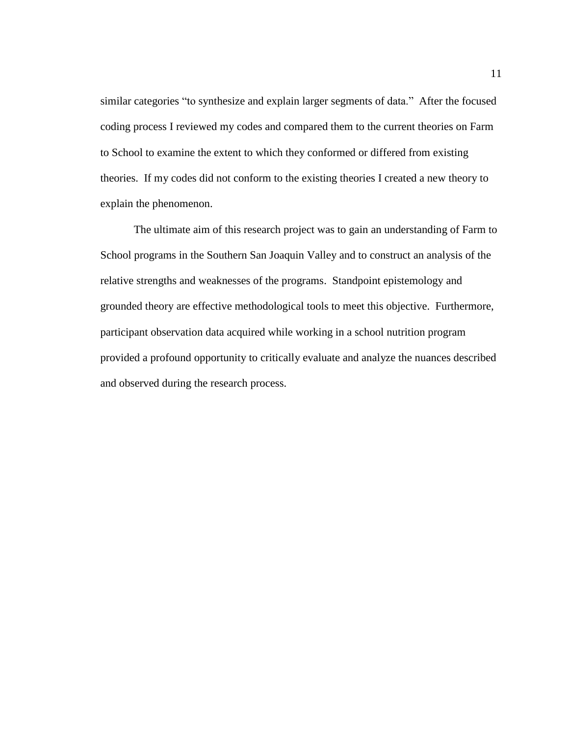similar categories "to synthesize and explain larger segments of data." After the focused coding process I reviewed my codes and compared them to the current theories on Farm to School to examine the extent to which they conformed or differed from existing theories. If my codes did not conform to the existing theories I created a new theory to explain the phenomenon.

The ultimate aim of this research project was to gain an understanding of Farm to School programs in the Southern San Joaquin Valley and to construct an analysis of the relative strengths and weaknesses of the programs. Standpoint epistemology and grounded theory are effective methodological tools to meet this objective. Furthermore, participant observation data acquired while working in a school nutrition program provided a profound opportunity to critically evaluate and analyze the nuances described and observed during the research process.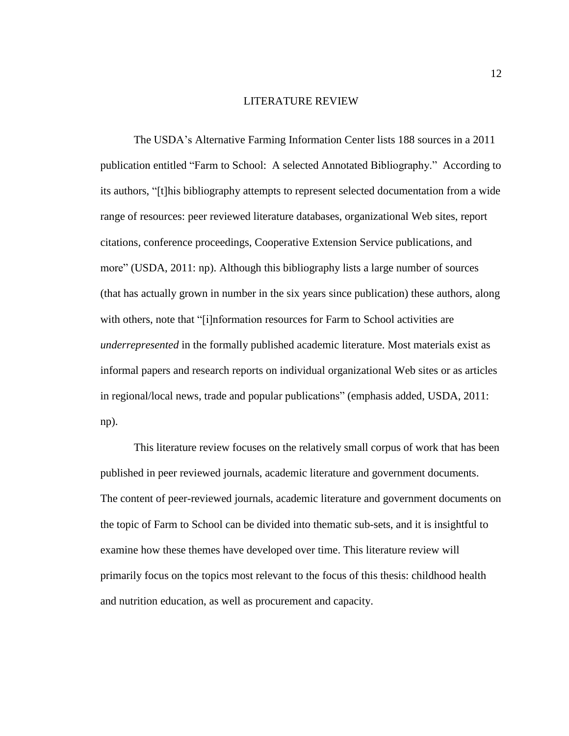#### LITERATURE REVIEW

<span id="page-18-0"></span>The USDA's Alternative Farming Information Center lists 188 sources in a 2011 publication entitled "Farm to School: A selected Annotated Bibliography." According to its authors, "[t]his bibliography attempts to represent selected documentation from a wide range of resources: peer reviewed literature databases, organizational Web sites, report citations, conference proceedings, Cooperative Extension Service publications, and more" (USDA, 2011: np). Although this bibliography lists a large number of sources (that has actually grown in number in the six years since publication) these authors, along with others, note that "[i]nformation resources for Farm to School activities are *underrepresented* in the formally published academic literature. Most materials exist as informal papers and research reports on individual organizational Web sites or as articles in regional/local news, trade and popular publications" (emphasis added, USDA, 2011: np).

This literature review focuses on the relatively small corpus of work that has been published in peer reviewed journals, academic literature and government documents. The content of peer-reviewed journals, academic literature and government documents on the topic of Farm to School can be divided into thematic sub-sets, and it is insightful to examine how these themes have developed over time. This literature review will primarily focus on the topics most relevant to the focus of this thesis: childhood health and nutrition education, as well as procurement and capacity.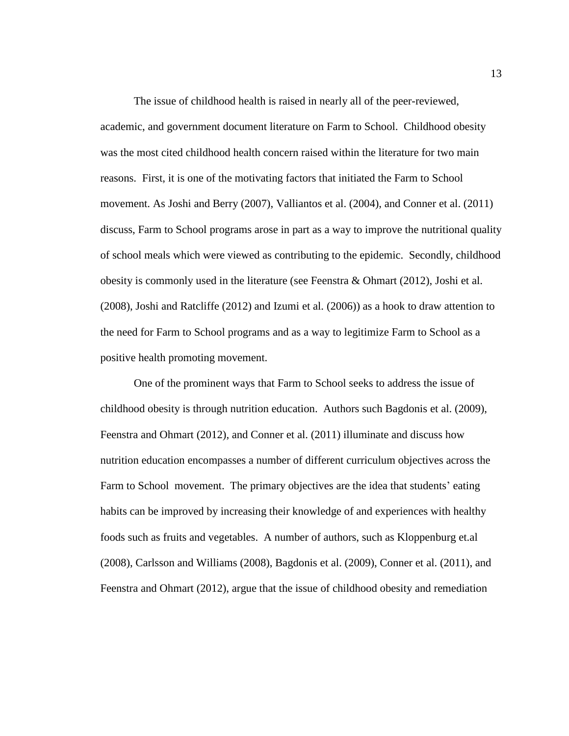The issue of childhood health is raised in nearly all of the peer-reviewed, academic, and government document literature on Farm to School. Childhood obesity was the most cited childhood health concern raised within the literature for two main reasons. First, it is one of the motivating factors that initiated the Farm to School movement. As Joshi and Berry (2007), Valliantos et al. (2004), and Conner et al. (2011) discuss, Farm to School programs arose in part as a way to improve the nutritional quality of school meals which were viewed as contributing to the epidemic. Secondly, childhood obesity is commonly used in the literature (see Feenstra & Ohmart (2012), Joshi et al. (2008), Joshi and Ratcliffe (2012) and Izumi et al. (2006)) as a hook to draw attention to the need for Farm to School programs and as a way to legitimize Farm to School as a positive health promoting movement.

One of the prominent ways that Farm to School seeks to address the issue of childhood obesity is through nutrition education. Authors such Bagdonis et al. (2009), Feenstra and Ohmart (2012), and Conner et al. (2011) illuminate and discuss how nutrition education encompasses a number of different curriculum objectives across the Farm to School movement. The primary objectives are the idea that students' eating habits can be improved by increasing their knowledge of and experiences with healthy foods such as fruits and vegetables. A number of authors, such as Kloppenburg et.al (2008), Carlsson and Williams (2008), Bagdonis et al. (2009), Conner et al. (2011), and Feenstra and Ohmart (2012), argue that the issue of childhood obesity and remediation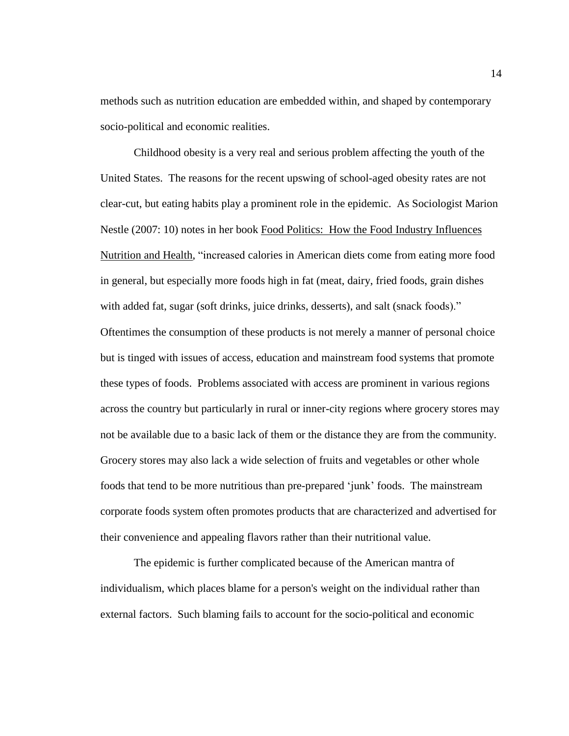methods such as nutrition education are embedded within, and shaped by contemporary socio-political and economic realities.

Childhood obesity is a very real and serious problem affecting the youth of the United States. The reasons for the recent upswing of school-aged obesity rates are not clear-cut, but eating habits play a prominent role in the epidemic. As Sociologist Marion Nestle (2007: 10) notes in her book Food Politics: How the Food Industry Influences Nutrition and Health, "increased calories in American diets come from eating more food in general, but especially more foods high in fat (meat, dairy, fried foods, grain dishes with added fat, sugar (soft drinks, juice drinks, desserts), and salt (snack foods)." Oftentimes the consumption of these products is not merely a manner of personal choice but is tinged with issues of access, education and mainstream food systems that promote these types of foods. Problems associated with access are prominent in various regions across the country but particularly in rural or inner-city regions where grocery stores may not be available due to a basic lack of them or the distance they are from the community. Grocery stores may also lack a wide selection of fruits and vegetables or other whole foods that tend to be more nutritious than pre-prepared 'junk' foods. The mainstream corporate foods system often promotes products that are characterized and advertised for their convenience and appealing flavors rather than their nutritional value.

The epidemic is further complicated because of the American mantra of individualism, which places blame for a person's weight on the individual rather than external factors. Such blaming fails to account for the socio-political and economic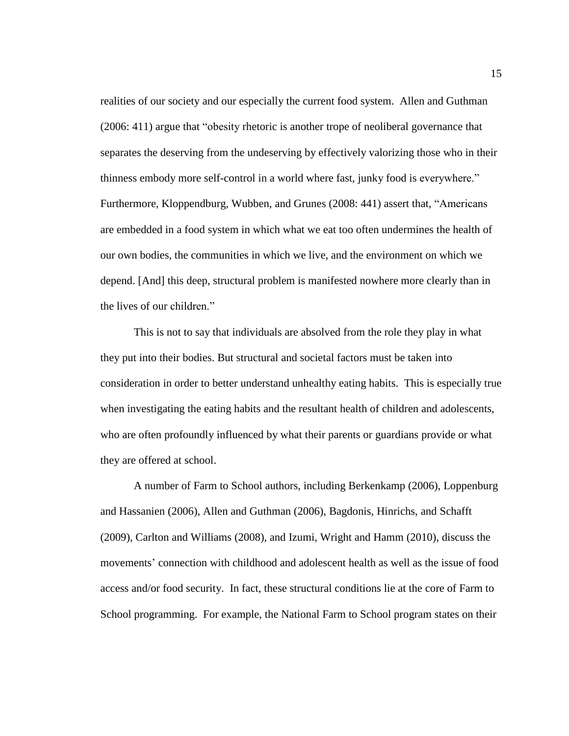realities of our society and our especially the current food system. Allen and Guthman (2006: 411) argue that "obesity rhetoric is another trope of neoliberal governance that separates the deserving from the undeserving by effectively valorizing those who in their thinness embody more self-control in a world where fast, junky food is everywhere." Furthermore, Kloppendburg, Wubben, and Grunes (2008: 441) assert that, "Americans are embedded in a food system in which what we eat too often undermines the health of our own bodies, the communities in which we live, and the environment on which we depend. [And] this deep, structural problem is manifested nowhere more clearly than in the lives of our children."

This is not to say that individuals are absolved from the role they play in what they put into their bodies. But structural and societal factors must be taken into consideration in order to better understand unhealthy eating habits. This is especially true when investigating the eating habits and the resultant health of children and adolescents, who are often profoundly influenced by what their parents or guardians provide or what they are offered at school.

A number of Farm to School authors, including Berkenkamp (2006), Loppenburg and Hassanien (2006), Allen and Guthman (2006), Bagdonis, Hinrichs, and Schafft (2009), Carlton and Williams (2008), and Izumi, Wright and Hamm (2010), discuss the movements' connection with childhood and adolescent health as well as the issue of food access and/or food security. In fact, these structural conditions lie at the core of Farm to School programming. For example, the National Farm to School program states on their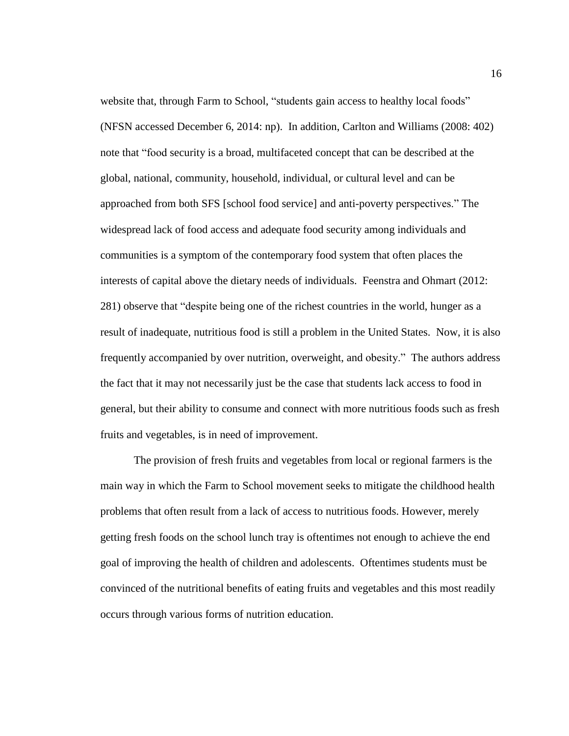website that, through Farm to School, "students gain access to healthy local foods" (NFSN accessed December 6, 2014: np). In addition, Carlton and Williams (2008: 402) note that "food security is a broad, multifaceted concept that can be described at the global, national, community, household, individual, or cultural level and can be approached from both SFS [school food service] and anti-poverty perspectives." The widespread lack of food access and adequate food security among individuals and communities is a symptom of the contemporary food system that often places the interests of capital above the dietary needs of individuals. Feenstra and Ohmart (2012: 281) observe that "despite being one of the richest countries in the world, hunger as a result of inadequate, nutritious food is still a problem in the United States. Now, it is also frequently accompanied by over nutrition, overweight, and obesity." The authors address the fact that it may not necessarily just be the case that students lack access to food in general, but their ability to consume and connect with more nutritious foods such as fresh fruits and vegetables, is in need of improvement.

The provision of fresh fruits and vegetables from local or regional farmers is the main way in which the Farm to School movement seeks to mitigate the childhood health problems that often result from a lack of access to nutritious foods. However, merely getting fresh foods on the school lunch tray is oftentimes not enough to achieve the end goal of improving the health of children and adolescents. Oftentimes students must be convinced of the nutritional benefits of eating fruits and vegetables and this most readily occurs through various forms of nutrition education.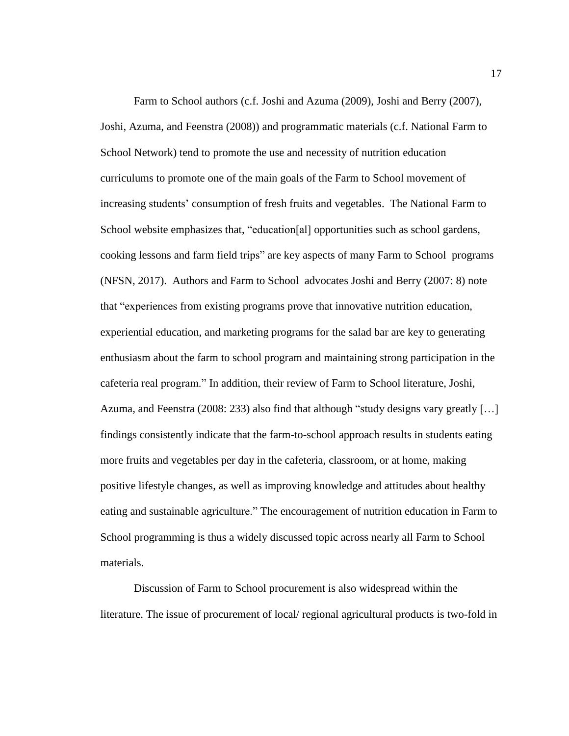Farm to School authors (c.f. Joshi and Azuma (2009), Joshi and Berry (2007), Joshi, Azuma, and Feenstra (2008)) and programmatic materials (c.f. National Farm to School Network) tend to promote the use and necessity of nutrition education curriculums to promote one of the main goals of the Farm to School movement of increasing students' consumption of fresh fruits and vegetables. The National Farm to School website emphasizes that, "education[al] opportunities such as school gardens, cooking lessons and farm field trips" are key aspects of many Farm to School programs (NFSN, 2017). Authors and Farm to School advocates Joshi and Berry (2007: 8) note that "experiences from existing programs prove that innovative nutrition education, experiential education, and marketing programs for the salad bar are key to generating enthusiasm about the farm to school program and maintaining strong participation in the cafeteria real program." In addition, their review of Farm to School literature, Joshi, Azuma, and Feenstra (2008: 233) also find that although "study designs vary greatly […] findings consistently indicate that the farm-to-school approach results in students eating more fruits and vegetables per day in the cafeteria, classroom, or at home, making positive lifestyle changes, as well as improving knowledge and attitudes about healthy eating and sustainable agriculture." The encouragement of nutrition education in Farm to School programming is thus a widely discussed topic across nearly all Farm to School materials.

Discussion of Farm to School procurement is also widespread within the literature. The issue of procurement of local/ regional agricultural products is two-fold in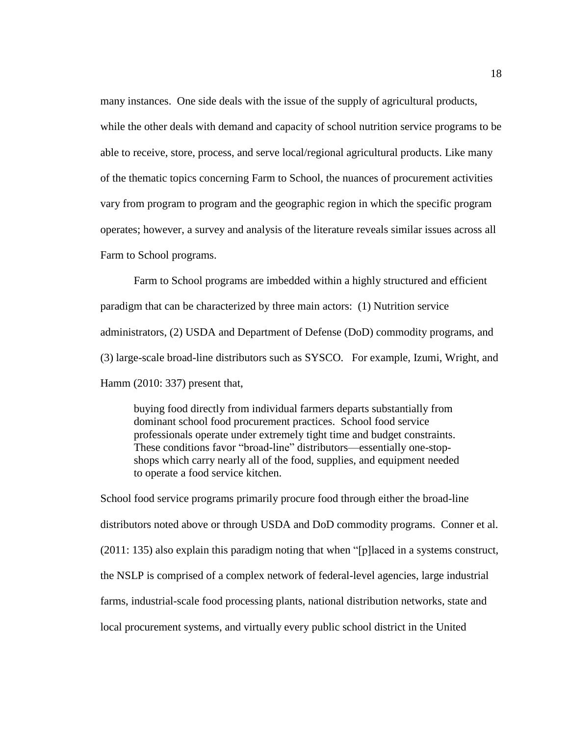many instances. One side deals with the issue of the supply of agricultural products, while the other deals with demand and capacity of school nutrition service programs to be able to receive, store, process, and serve local/regional agricultural products. Like many of the thematic topics concerning Farm to School, the nuances of procurement activities vary from program to program and the geographic region in which the specific program operates; however, a survey and analysis of the literature reveals similar issues across all Farm to School programs.

Farm to School programs are imbedded within a highly structured and efficient paradigm that can be characterized by three main actors: (1) Nutrition service administrators, (2) USDA and Department of Defense (DoD) commodity programs, and (3) large-scale broad-line distributors such as SYSCO. For example, Izumi, Wright, and Hamm (2010: 337) present that,

buying food directly from individual farmers departs substantially from dominant school food procurement practices. School food service professionals operate under extremely tight time and budget constraints. These conditions favor "broad-line" distributors—essentially one-stopshops which carry nearly all of the food, supplies, and equipment needed to operate a food service kitchen.

School food service programs primarily procure food through either the broad-line distributors noted above or through USDA and DoD commodity programs. Conner et al. (2011: 135) also explain this paradigm noting that when "[p]laced in a systems construct, the NSLP is comprised of a complex network of federal-level agencies, large industrial farms, industrial-scale food processing plants, national distribution networks, state and local procurement systems, and virtually every public school district in the United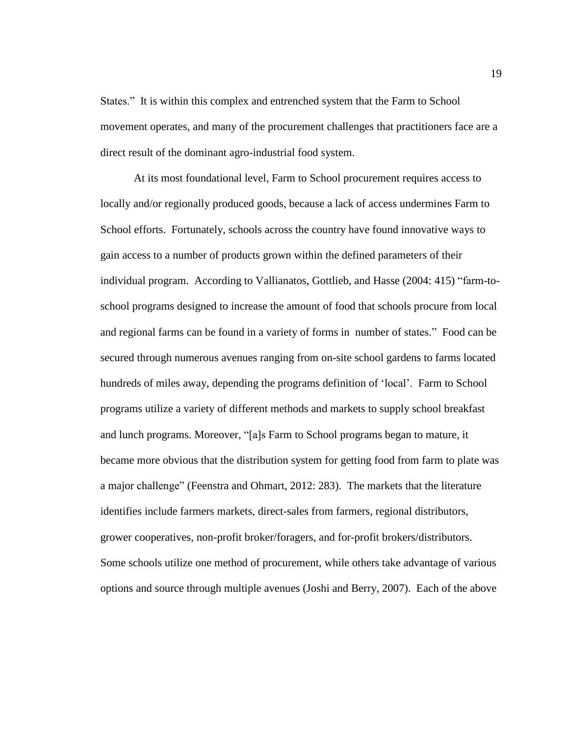States." It is within this complex and entrenched system that the Farm to School movement operates, and many of the procurement challenges that practitioners face are a direct result of the dominant agro-industrial food system.

At its most foundational level, Farm to School procurement requires access to locally and/or regionally produced goods, because a lack of access undermines Farm to School efforts. Fortunately, schools across the country have found innovative ways to gain access to a number of products grown within the defined parameters of their individual program. According to Vallianatos, Gottlieb, and Hasse (2004: 415) "farm-toschool programs designed to increase the amount of food that schools procure from local and regional farms can be found in a variety of forms in number of states." Food can be secured through numerous avenues ranging from on-site school gardens to farms located hundreds of miles away, depending the programs definition of 'local'. Farm to School programs utilize a variety of different methods and markets to supply school breakfast and lunch programs. Moreover, "[a]s Farm to School programs began to mature, it became more obvious that the distribution system for getting food from farm to plate was a major challenge" (Feenstra and Ohmart, 2012: 283). The markets that the literature identifies include farmers markets, direct-sales from farmers, regional distributors, grower cooperatives, non-profit broker/foragers, and for-profit brokers/distributors. Some schools utilize one method of procurement, while others take advantage of various options and source through multiple avenues (Joshi and Berry, 2007). Each of the above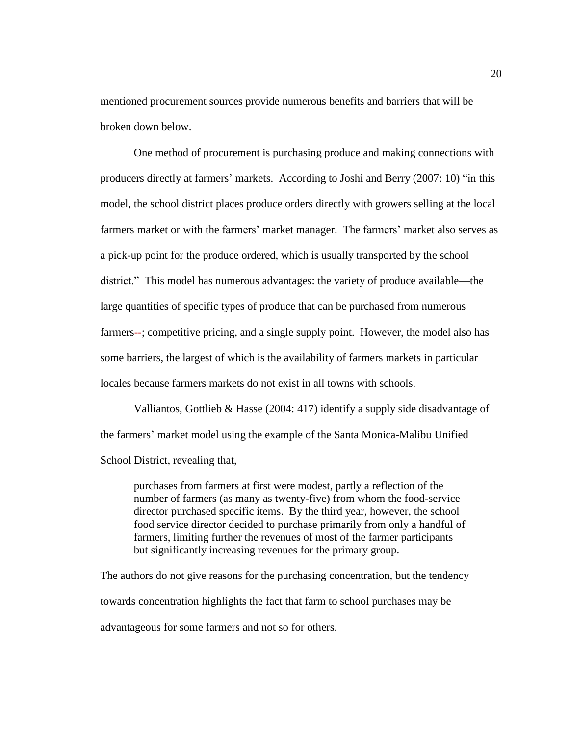mentioned procurement sources provide numerous benefits and barriers that will be broken down below.

One method of procurement is purchasing produce and making connections with producers directly at farmers' markets. According to Joshi and Berry (2007: 10) "in this model, the school district places produce orders directly with growers selling at the local farmers market or with the farmers' market manager. The farmers' market also serves as a pick-up point for the produce ordered, which is usually transported by the school district." This model has numerous advantages: the variety of produce available—the large quantities of specific types of produce that can be purchased from numerous farmers--; competitive pricing, and a single supply point. However, the model also has some barriers, the largest of which is the availability of farmers markets in particular locales because farmers markets do not exist in all towns with schools.

Valliantos, Gottlieb & Hasse (2004: 417) identify a supply side disadvantage of the farmers' market model using the example of the Santa Monica-Malibu Unified School District, revealing that,

purchases from farmers at first were modest, partly a reflection of the number of farmers (as many as twenty-five) from whom the food-service director purchased specific items. By the third year, however, the school food service director decided to purchase primarily from only a handful of farmers, limiting further the revenues of most of the farmer participants but significantly increasing revenues for the primary group.

The authors do not give reasons for the purchasing concentration, but the tendency towards concentration highlights the fact that farm to school purchases may be advantageous for some farmers and not so for others.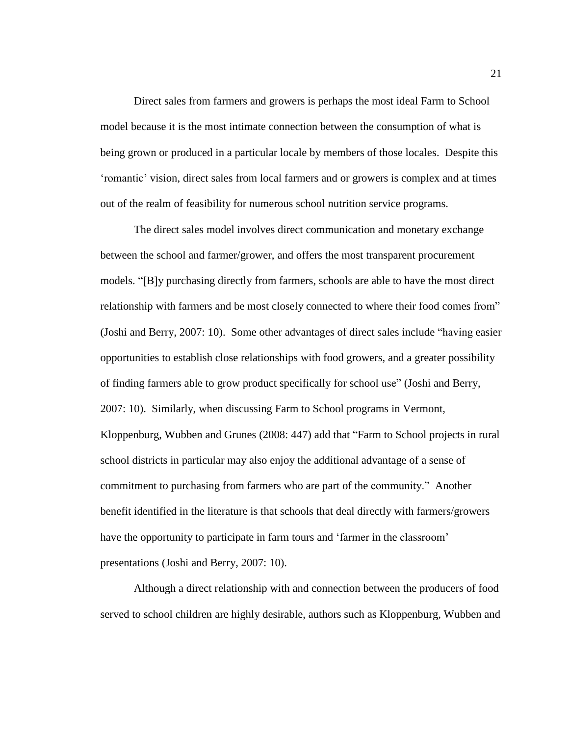Direct sales from farmers and growers is perhaps the most ideal Farm to School model because it is the most intimate connection between the consumption of what is being grown or produced in a particular locale by members of those locales. Despite this 'romantic' vision, direct sales from local farmers and or growers is complex and at times out of the realm of feasibility for numerous school nutrition service programs.

The direct sales model involves direct communication and monetary exchange between the school and farmer/grower, and offers the most transparent procurement models. "[B]y purchasing directly from farmers, schools are able to have the most direct relationship with farmers and be most closely connected to where their food comes from" (Joshi and Berry, 2007: 10). Some other advantages of direct sales include "having easier opportunities to establish close relationships with food growers, and a greater possibility of finding farmers able to grow product specifically for school use" (Joshi and Berry, 2007: 10). Similarly, when discussing Farm to School programs in Vermont, Kloppenburg, Wubben and Grunes (2008: 447) add that "Farm to School projects in rural school districts in particular may also enjoy the additional advantage of a sense of commitment to purchasing from farmers who are part of the community." Another benefit identified in the literature is that schools that deal directly with farmers/growers have the opportunity to participate in farm tours and 'farmer in the classroom' presentations (Joshi and Berry, 2007: 10).

Although a direct relationship with and connection between the producers of food served to school children are highly desirable, authors such as Kloppenburg, Wubben and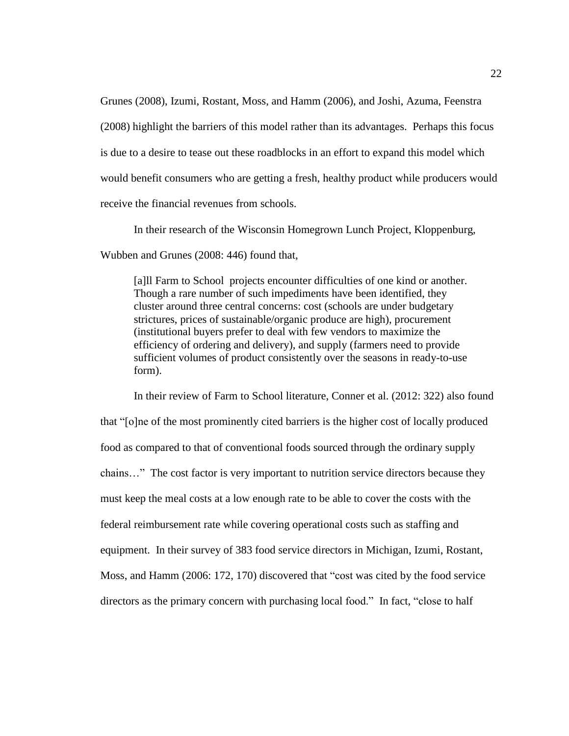Grunes (2008), Izumi, Rostant, Moss, and Hamm (2006), and Joshi, Azuma, Feenstra (2008) highlight the barriers of this model rather than its advantages. Perhaps this focus is due to a desire to tease out these roadblocks in an effort to expand this model which would benefit consumers who are getting a fresh, healthy product while producers would receive the financial revenues from schools.

In their research of the Wisconsin Homegrown Lunch Project, Kloppenburg,

Wubben and Grunes (2008: 446) found that,

[a]ll Farm to School projects encounter difficulties of one kind or another. Though a rare number of such impediments have been identified, they cluster around three central concerns: cost (schools are under budgetary strictures, prices of sustainable/organic produce are high), procurement (institutional buyers prefer to deal with few vendors to maximize the efficiency of ordering and delivery), and supply (farmers need to provide sufficient volumes of product consistently over the seasons in ready-to-use form).

In their review of Farm to School literature, Conner et al. (2012: 322) also found that "[o]ne of the most prominently cited barriers is the higher cost of locally produced food as compared to that of conventional foods sourced through the ordinary supply chains…" The cost factor is very important to nutrition service directors because they must keep the meal costs at a low enough rate to be able to cover the costs with the federal reimbursement rate while covering operational costs such as staffing and equipment. In their survey of 383 food service directors in Michigan, Izumi, Rostant, Moss, and Hamm (2006: 172, 170) discovered that "cost was cited by the food service directors as the primary concern with purchasing local food." In fact, "close to half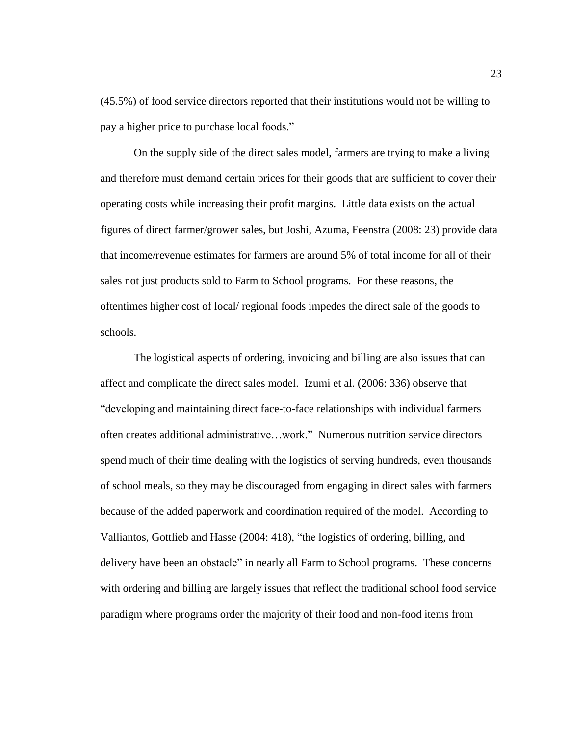(45.5%) of food service directors reported that their institutions would not be willing to pay a higher price to purchase local foods."

On the supply side of the direct sales model, farmers are trying to make a living and therefore must demand certain prices for their goods that are sufficient to cover their operating costs while increasing their profit margins. Little data exists on the actual figures of direct farmer/grower sales, but Joshi, Azuma, Feenstra (2008: 23) provide data that income/revenue estimates for farmers are around 5% of total income for all of their sales not just products sold to Farm to School programs. For these reasons, the oftentimes higher cost of local/ regional foods impedes the direct sale of the goods to schools.

The logistical aspects of ordering, invoicing and billing are also issues that can affect and complicate the direct sales model. Izumi et al. (2006: 336) observe that "developing and maintaining direct face-to-face relationships with individual farmers often creates additional administrative…work." Numerous nutrition service directors spend much of their time dealing with the logistics of serving hundreds, even thousands of school meals, so they may be discouraged from engaging in direct sales with farmers because of the added paperwork and coordination required of the model. According to Valliantos, Gottlieb and Hasse (2004: 418), "the logistics of ordering, billing, and delivery have been an obstacle" in nearly all Farm to School programs. These concerns with ordering and billing are largely issues that reflect the traditional school food service paradigm where programs order the majority of their food and non-food items from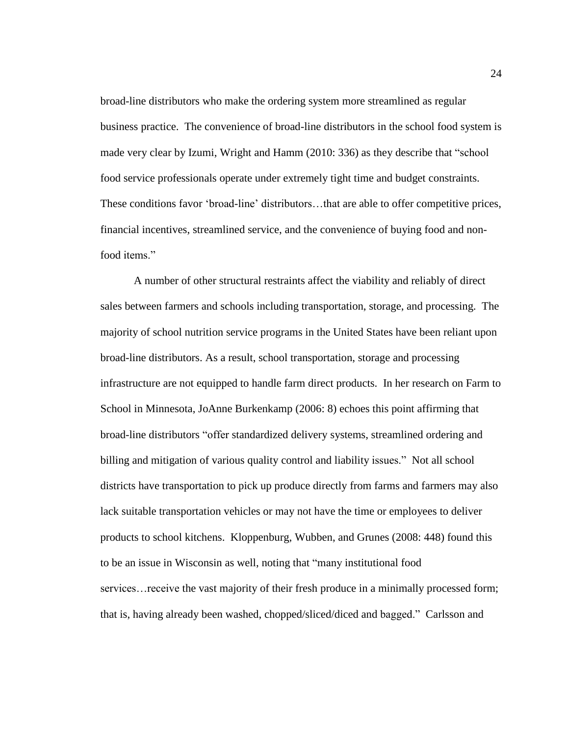broad-line distributors who make the ordering system more streamlined as regular business practice. The convenience of broad-line distributors in the school food system is made very clear by Izumi, Wright and Hamm (2010: 336) as they describe that "school food service professionals operate under extremely tight time and budget constraints. These conditions favor 'broad-line' distributors…that are able to offer competitive prices, financial incentives, streamlined service, and the convenience of buying food and nonfood items."

A number of other structural restraints affect the viability and reliably of direct sales between farmers and schools including transportation, storage, and processing. The majority of school nutrition service programs in the United States have been reliant upon broad-line distributors. As a result, school transportation, storage and processing infrastructure are not equipped to handle farm direct products. In her research on Farm to School in Minnesota, JoAnne Burkenkamp (2006: 8) echoes this point affirming that broad-line distributors "offer standardized delivery systems, streamlined ordering and billing and mitigation of various quality control and liability issues." Not all school districts have transportation to pick up produce directly from farms and farmers may also lack suitable transportation vehicles or may not have the time or employees to deliver products to school kitchens. Kloppenburg, Wubben, and Grunes (2008: 448) found this to be an issue in Wisconsin as well, noting that "many institutional food services…receive the vast majority of their fresh produce in a minimally processed form; that is, having already been washed, chopped/sliced/diced and bagged." Carlsson and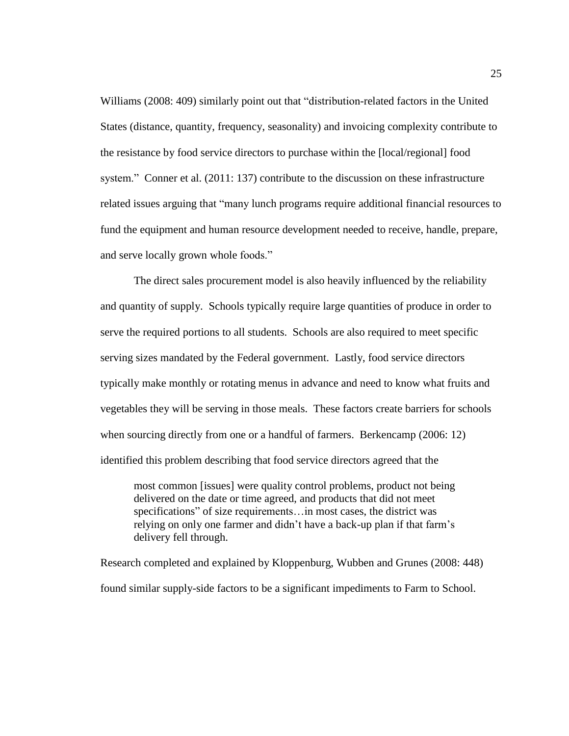Williams (2008: 409) similarly point out that "distribution-related factors in the United States (distance, quantity, frequency, seasonality) and invoicing complexity contribute to the resistance by food service directors to purchase within the [local/regional] food system." Conner et al. (2011: 137) contribute to the discussion on these infrastructure related issues arguing that "many lunch programs require additional financial resources to fund the equipment and human resource development needed to receive, handle, prepare, and serve locally grown whole foods."

The direct sales procurement model is also heavily influenced by the reliability and quantity of supply. Schools typically require large quantities of produce in order to serve the required portions to all students. Schools are also required to meet specific serving sizes mandated by the Federal government. Lastly, food service directors typically make monthly or rotating menus in advance and need to know what fruits and vegetables they will be serving in those meals. These factors create barriers for schools when sourcing directly from one or a handful of farmers. Berkencamp (2006: 12) identified this problem describing that food service directors agreed that the

most common [issues] were quality control problems, product not being delivered on the date or time agreed, and products that did not meet specifications" of size requirements...in most cases, the district was relying on only one farmer and didn't have a back-up plan if that farm's delivery fell through.

Research completed and explained by Kloppenburg, Wubben and Grunes (2008: 448) found similar supply-side factors to be a significant impediments to Farm to School.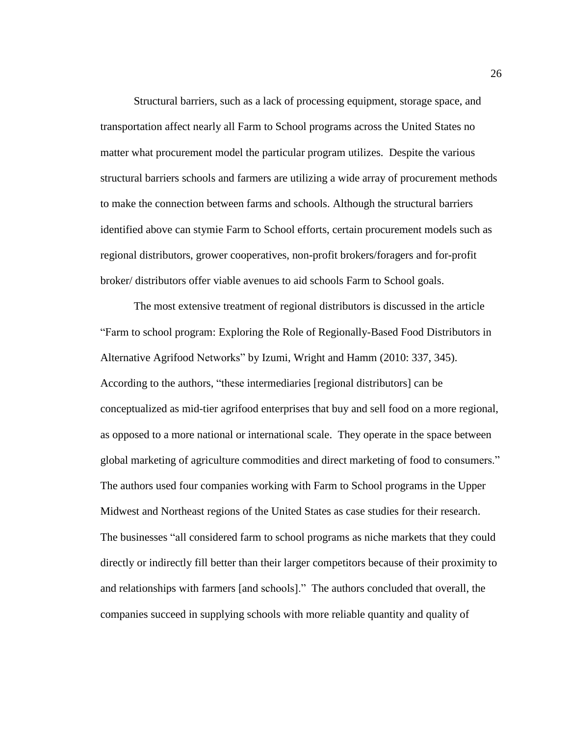Structural barriers, such as a lack of processing equipment, storage space, and transportation affect nearly all Farm to School programs across the United States no matter what procurement model the particular program utilizes. Despite the various structural barriers schools and farmers are utilizing a wide array of procurement methods to make the connection between farms and schools. Although the structural barriers identified above can stymie Farm to School efforts, certain procurement models such as regional distributors, grower cooperatives, non-profit brokers/foragers and for-profit broker/ distributors offer viable avenues to aid schools Farm to School goals.

The most extensive treatment of regional distributors is discussed in the article "Farm to school program: Exploring the Role of Regionally-Based Food Distributors in Alternative Agrifood Networks" by Izumi, Wright and Hamm (2010: 337, 345). According to the authors, "these intermediaries [regional distributors] can be conceptualized as mid-tier agrifood enterprises that buy and sell food on a more regional, as opposed to a more national or international scale. They operate in the space between global marketing of agriculture commodities and direct marketing of food to consumers." The authors used four companies working with Farm to School programs in the Upper Midwest and Northeast regions of the United States as case studies for their research. The businesses "all considered farm to school programs as niche markets that they could directly or indirectly fill better than their larger competitors because of their proximity to and relationships with farmers [and schools]." The authors concluded that overall, the companies succeed in supplying schools with more reliable quantity and quality of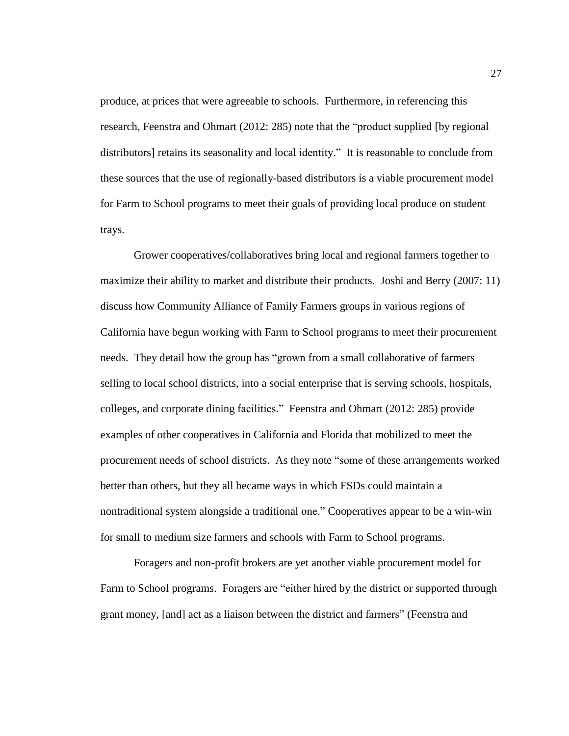produce, at prices that were agreeable to schools. Furthermore, in referencing this research, Feenstra and Ohmart (2012: 285) note that the "product supplied [by regional distributors] retains its seasonality and local identity." It is reasonable to conclude from these sources that the use of regionally-based distributors is a viable procurement model for Farm to School programs to meet their goals of providing local produce on student trays.

Grower cooperatives/collaboratives bring local and regional farmers together to maximize their ability to market and distribute their products. Joshi and Berry (2007: 11) discuss how Community Alliance of Family Farmers groups in various regions of California have begun working with Farm to School programs to meet their procurement needs. They detail how the group has "grown from a small collaborative of farmers selling to local school districts, into a social enterprise that is serving schools, hospitals, colleges, and corporate dining facilities." Feenstra and Ohmart (2012: 285) provide examples of other cooperatives in California and Florida that mobilized to meet the procurement needs of school districts. As they note "some of these arrangements worked better than others, but they all became ways in which FSDs could maintain a nontraditional system alongside a traditional one." Cooperatives appear to be a win-win for small to medium size farmers and schools with Farm to School programs.

Foragers and non-profit brokers are yet another viable procurement model for Farm to School programs. Foragers are "either hired by the district or supported through grant money, [and] act as a liaison between the district and farmers" (Feenstra and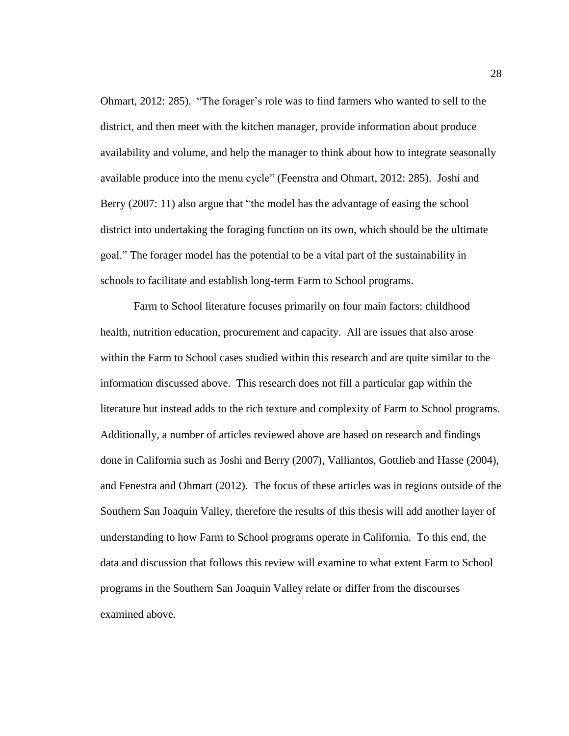Ohmart, 2012: 285). "The forager's role was to find farmers who wanted to sell to the district, and then meet with the kitchen manager, provide information about produce availability and volume, and help the manager to think about how to integrate seasonally available produce into the menu cycle" (Feenstra and Ohmart, 2012: 285). Joshi and Berry (2007: 11) also argue that "the model has the advantage of easing the school district into undertaking the foraging function on its own, which should be the ultimate goal." The forager model has the potential to be a vital part of the sustainability in schools to facilitate and establish long-term Farm to School programs.

Farm to School literature focuses primarily on four main factors: childhood health, nutrition education, procurement and capacity. All are issues that also arose within the Farm to School cases studied within this research and are quite similar to the information discussed above. This research does not fill a particular gap within the literature but instead adds to the rich texture and complexity of Farm to School programs. Additionally, a number of articles reviewed above are based on research and findings done in California such as Joshi and Berry (2007), Valliantos, Gottlieb and Hasse (2004), and Fenestra and Ohmart (2012). The focus of these articles was in regions outside of the Southern San Joaquin Valley, therefore the results of this thesis will add another layer of understanding to how Farm to School programs operate in California. To this end, the data and discussion that follows this review will examine to what extent Farm to School programs in the Southern San Joaquin Valley relate or differ from the discourses examined above.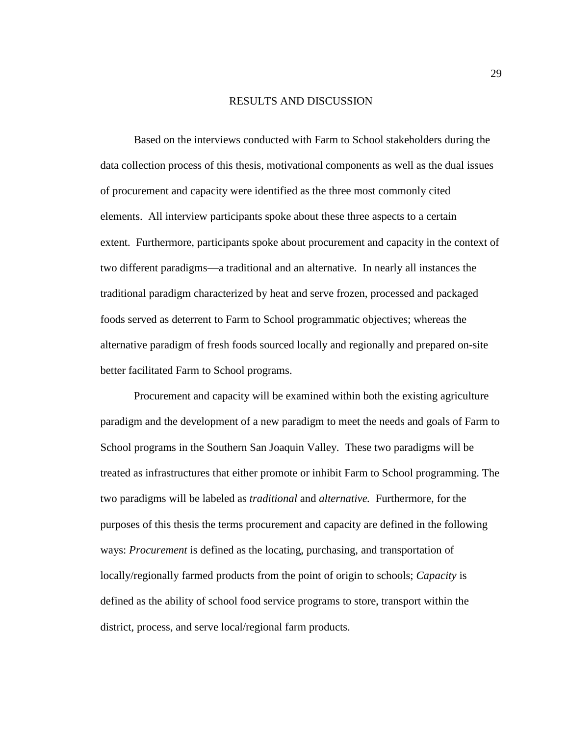#### RESULTS AND DISCUSSION

<span id="page-35-0"></span>Based on the interviews conducted with Farm to School stakeholders during the data collection process of this thesis, motivational components as well as the dual issues of procurement and capacity were identified as the three most commonly cited elements. All interview participants spoke about these three aspects to a certain extent. Furthermore, participants spoke about procurement and capacity in the context of two different paradigms—a traditional and an alternative. In nearly all instances the traditional paradigm characterized by heat and serve frozen, processed and packaged foods served as deterrent to Farm to School programmatic objectives; whereas the alternative paradigm of fresh foods sourced locally and regionally and prepared on-site better facilitated Farm to School programs.

Procurement and capacity will be examined within both the existing agriculture paradigm and the development of a new paradigm to meet the needs and goals of Farm to School programs in the Southern San Joaquin Valley. These two paradigms will be treated as infrastructures that either promote or inhibit Farm to School programming. The two paradigms will be labeled as *traditional* and *alternative.* Furthermore, for the purposes of this thesis the terms procurement and capacity are defined in the following ways: *Procurement* is defined as the locating, purchasing, and transportation of locally/regionally farmed products from the point of origin to schools; *Capacity* is defined as the ability of school food service programs to store, transport within the district, process, and serve local/regional farm products.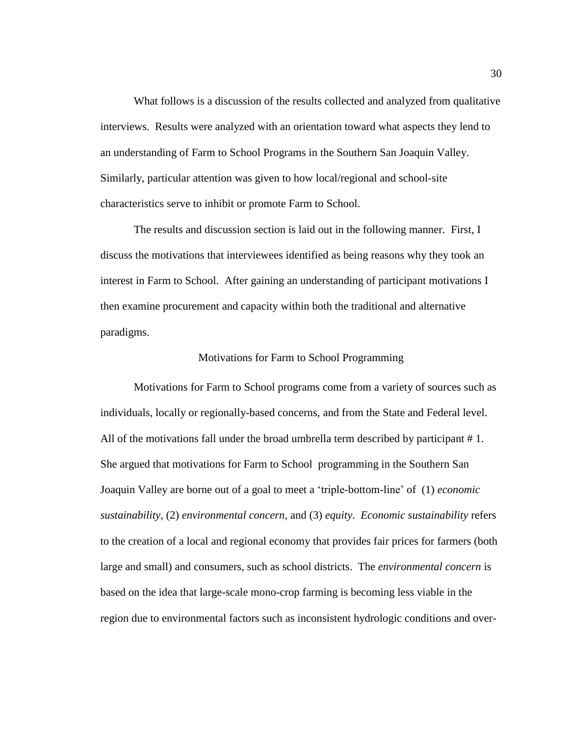What follows is a discussion of the results collected and analyzed from qualitative interviews. Results were analyzed with an orientation toward what aspects they lend to an understanding of Farm to School Programs in the Southern San Joaquin Valley. Similarly, particular attention was given to how local/regional and school-site characteristics serve to inhibit or promote Farm to School.

The results and discussion section is laid out in the following manner. First, I discuss the motivations that interviewees identified as being reasons why they took an interest in Farm to School. After gaining an understanding of participant motivations I then examine procurement and capacity within both the traditional and alternative paradigms.

## Motivations for Farm to School Programming

Motivations for Farm to School programs come from a variety of sources such as individuals, locally or regionally-based concerns, and from the State and Federal level. All of the motivations fall under the broad umbrella term described by participant # 1. She argued that motivations for Farm to School programming in the Southern San Joaquin Valley are borne out of a goal to meet a 'triple-bottom-line' of (1) *economic sustainability*, (2) *environmental concern*, and (3) *equity*. *Economic sustainability* refers to the creation of a local and regional economy that provides fair prices for farmers (both large and small) and consumers, such as school districts. The *environmental concern* is based on the idea that large-scale mono-crop farming is becoming less viable in the region due to environmental factors such as inconsistent hydrologic conditions and over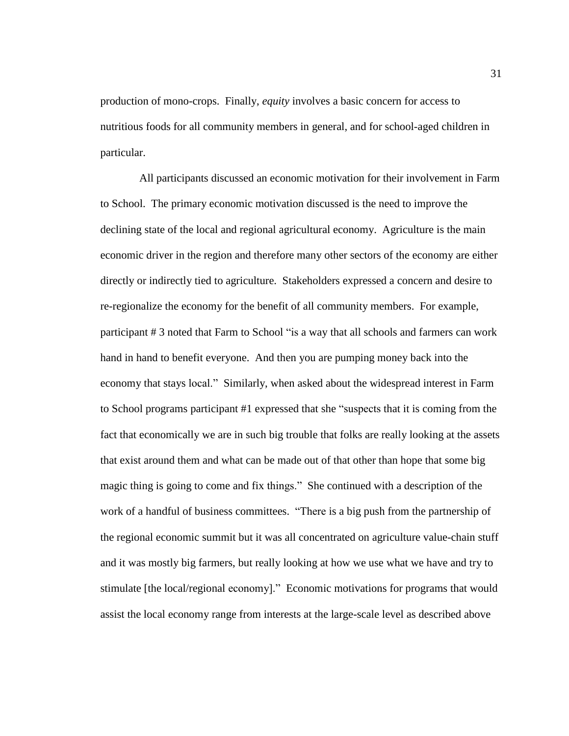production of mono-crops. Finally, *equity* involves a basic concern for access to nutritious foods for all community members in general, and for school-aged children in particular.

 All participants discussed an economic motivation for their involvement in Farm to School. The primary economic motivation discussed is the need to improve the declining state of the local and regional agricultural economy. Agriculture is the main economic driver in the region and therefore many other sectors of the economy are either directly or indirectly tied to agriculture. Stakeholders expressed a concern and desire to re-regionalize the economy for the benefit of all community members. For example, participant # 3 noted that Farm to School "is a way that all schools and farmers can work hand in hand to benefit everyone. And then you are pumping money back into the economy that stays local." Similarly, when asked about the widespread interest in Farm to School programs participant #1 expressed that she "suspects that it is coming from the fact that economically we are in such big trouble that folks are really looking at the assets that exist around them and what can be made out of that other than hope that some big magic thing is going to come and fix things." She continued with a description of the work of a handful of business committees. "There is a big push from the partnership of the regional economic summit but it was all concentrated on agriculture value-chain stuff and it was mostly big farmers, but really looking at how we use what we have and try to stimulate [the local/regional economy]." Economic motivations for programs that would assist the local economy range from interests at the large-scale level as described above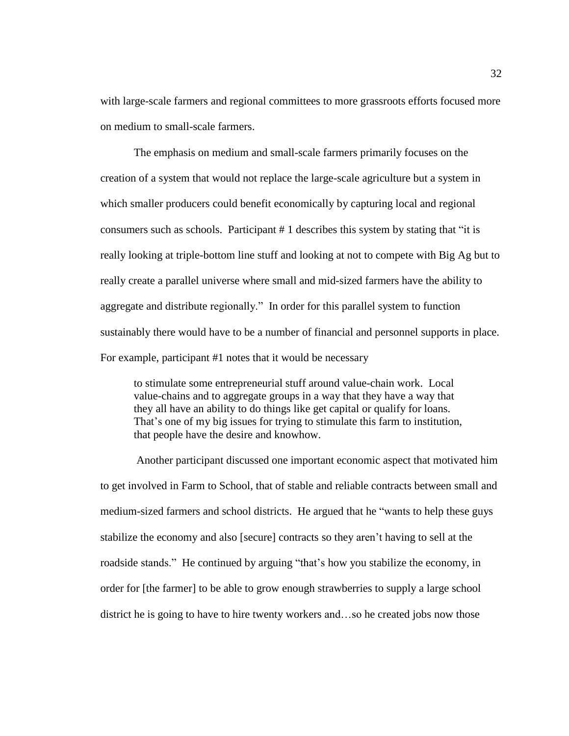with large-scale farmers and regional committees to more grassroots efforts focused more on medium to small-scale farmers.

The emphasis on medium and small-scale farmers primarily focuses on the creation of a system that would not replace the large-scale agriculture but a system in which smaller producers could benefit economically by capturing local and regional consumers such as schools. Participant # 1 describes this system by stating that "it is really looking at triple-bottom line stuff and looking at not to compete with Big Ag but to really create a parallel universe where small and mid-sized farmers have the ability to aggregate and distribute regionally." In order for this parallel system to function sustainably there would have to be a number of financial and personnel supports in place. For example, participant #1 notes that it would be necessary

to stimulate some entrepreneurial stuff around value-chain work. Local value-chains and to aggregate groups in a way that they have a way that they all have an ability to do things like get capital or qualify for loans. That's one of my big issues for trying to stimulate this farm to institution, that people have the desire and knowhow.

Another participant discussed one important economic aspect that motivated him to get involved in Farm to School, that of stable and reliable contracts between small and medium-sized farmers and school districts. He argued that he "wants to help these guys stabilize the economy and also [secure] contracts so they aren't having to sell at the roadside stands." He continued by arguing "that's how you stabilize the economy, in order for [the farmer] to be able to grow enough strawberries to supply a large school district he is going to have to hire twenty workers and…so he created jobs now those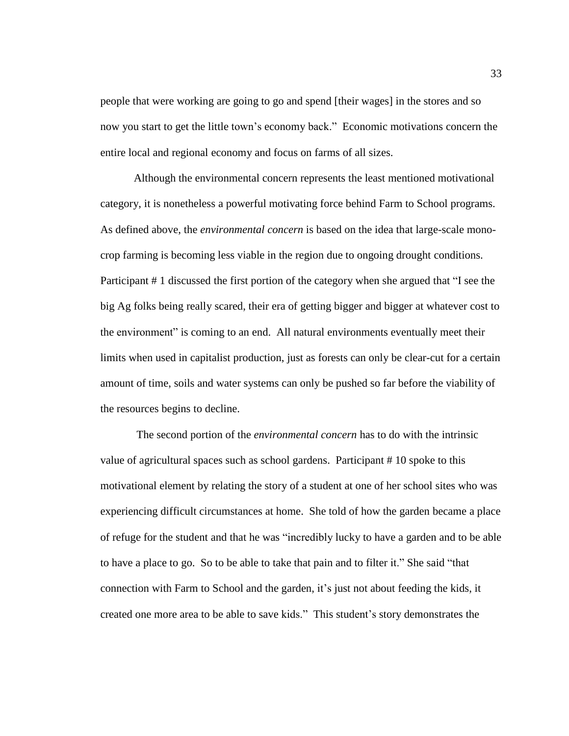people that were working are going to go and spend [their wages] in the stores and so now you start to get the little town's economy back." Economic motivations concern the entire local and regional economy and focus on farms of all sizes.

Although the environmental concern represents the least mentioned motivational category, it is nonetheless a powerful motivating force behind Farm to School programs. As defined above, the *environmental concern* is based on the idea that large-scale monocrop farming is becoming less viable in the region due to ongoing drought conditions. Participant # 1 discussed the first portion of the category when she argued that "I see the big Ag folks being really scared, their era of getting bigger and bigger at whatever cost to the environment" is coming to an end. All natural environments eventually meet their limits when used in capitalist production, just as forests can only be clear-cut for a certain amount of time, soils and water systems can only be pushed so far before the viability of the resources begins to decline.

The second portion of the *environmental concern* has to do with the intrinsic value of agricultural spaces such as school gardens. Participant # 10 spoke to this motivational element by relating the story of a student at one of her school sites who was experiencing difficult circumstances at home. She told of how the garden became a place of refuge for the student and that he was "incredibly lucky to have a garden and to be able to have a place to go. So to be able to take that pain and to filter it." She said "that connection with Farm to School and the garden, it's just not about feeding the kids, it created one more area to be able to save kids." This student's story demonstrates the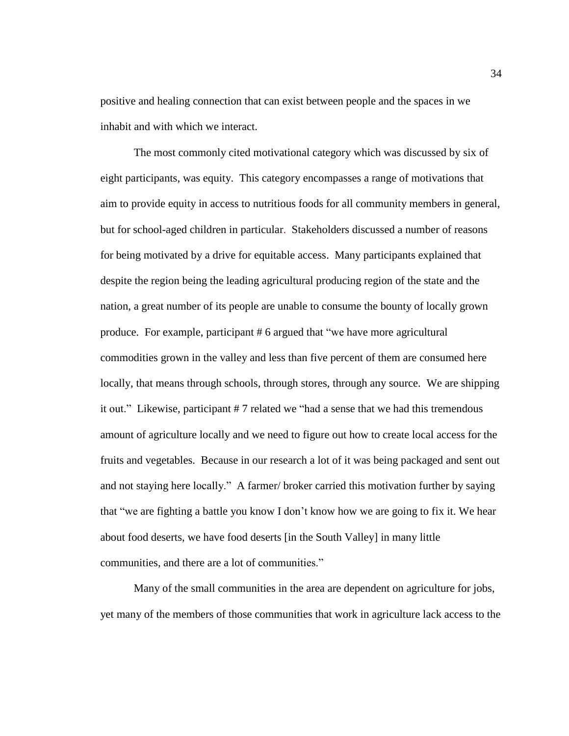positive and healing connection that can exist between people and the spaces in we inhabit and with which we interact.

The most commonly cited motivational category which was discussed by six of eight participants, was equity. This category encompasses a range of motivations that aim to provide equity in access to nutritious foods for all community members in general, but for school-aged children in particular. Stakeholders discussed a number of reasons for being motivated by a drive for equitable access. Many participants explained that despite the region being the leading agricultural producing region of the state and the nation, a great number of its people are unable to consume the bounty of locally grown produce. For example, participant # 6 argued that "we have more agricultural commodities grown in the valley and less than five percent of them are consumed here locally, that means through schools, through stores, through any source. We are shipping it out." Likewise, participant # 7 related we "had a sense that we had this tremendous amount of agriculture locally and we need to figure out how to create local access for the fruits and vegetables. Because in our research a lot of it was being packaged and sent out and not staying here locally." A farmer/ broker carried this motivation further by saying that "we are fighting a battle you know I don't know how we are going to fix it. We hear about food deserts, we have food deserts [in the South Valley] in many little communities, and there are a lot of communities."

Many of the small communities in the area are dependent on agriculture for jobs, yet many of the members of those communities that work in agriculture lack access to the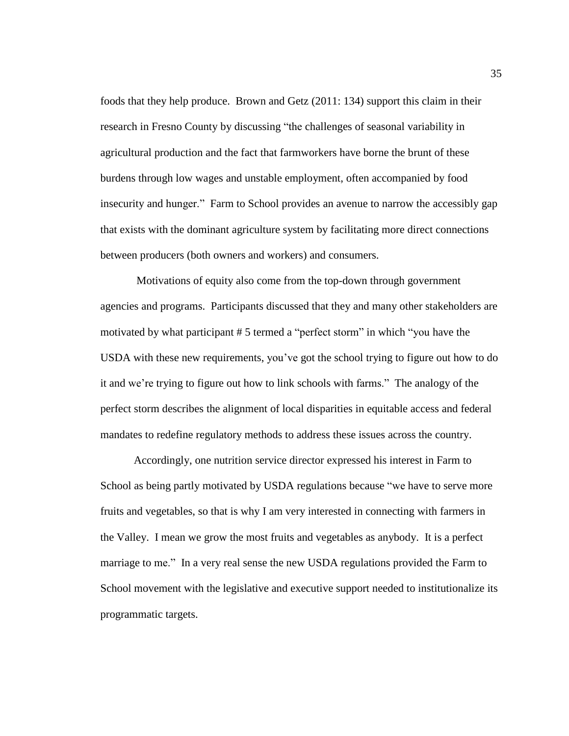foods that they help produce. Brown and Getz (2011: 134) support this claim in their research in Fresno County by discussing "the challenges of seasonal variability in agricultural production and the fact that farmworkers have borne the brunt of these burdens through low wages and unstable employment, often accompanied by food insecurity and hunger." Farm to School provides an avenue to narrow the accessibly gap that exists with the dominant agriculture system by facilitating more direct connections between producers (both owners and workers) and consumers.

Motivations of equity also come from the top-down through government agencies and programs. Participants discussed that they and many other stakeholders are motivated by what participant # 5 termed a "perfect storm" in which "you have the USDA with these new requirements, you've got the school trying to figure out how to do it and we're trying to figure out how to link schools with farms." The analogy of the perfect storm describes the alignment of local disparities in equitable access and federal mandates to redefine regulatory methods to address these issues across the country.

Accordingly, one nutrition service director expressed his interest in Farm to School as being partly motivated by USDA regulations because "we have to serve more fruits and vegetables, so that is why I am very interested in connecting with farmers in the Valley. I mean we grow the most fruits and vegetables as anybody. It is a perfect marriage to me." In a very real sense the new USDA regulations provided the Farm to School movement with the legislative and executive support needed to institutionalize its programmatic targets.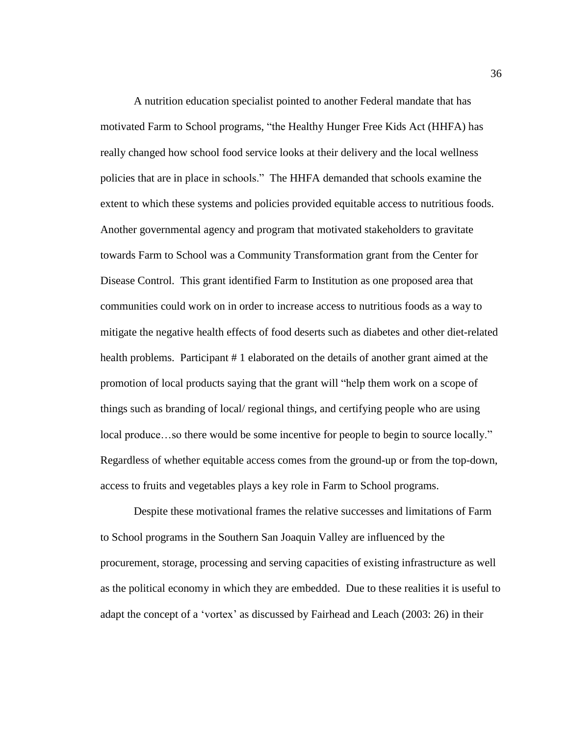A nutrition education specialist pointed to another Federal mandate that has motivated Farm to School programs, "the Healthy Hunger Free Kids Act (HHFA) has really changed how school food service looks at their delivery and the local wellness policies that are in place in schools." The HHFA demanded that schools examine the extent to which these systems and policies provided equitable access to nutritious foods. Another governmental agency and program that motivated stakeholders to gravitate towards Farm to School was a Community Transformation grant from the Center for Disease Control. This grant identified Farm to Institution as one proposed area that communities could work on in order to increase access to nutritious foods as a way to mitigate the negative health effects of food deserts such as diabetes and other diet-related health problems. Participant # 1 elaborated on the details of another grant aimed at the promotion of local products saying that the grant will "help them work on a scope of things such as branding of local/ regional things, and certifying people who are using local produce…so there would be some incentive for people to begin to source locally." Regardless of whether equitable access comes from the ground-up or from the top-down, access to fruits and vegetables plays a key role in Farm to School programs.

Despite these motivational frames the relative successes and limitations of Farm to School programs in the Southern San Joaquin Valley are influenced by the procurement, storage, processing and serving capacities of existing infrastructure as well as the political economy in which they are embedded. Due to these realities it is useful to adapt the concept of a 'vortex' as discussed by Fairhead and Leach (2003: 26) in their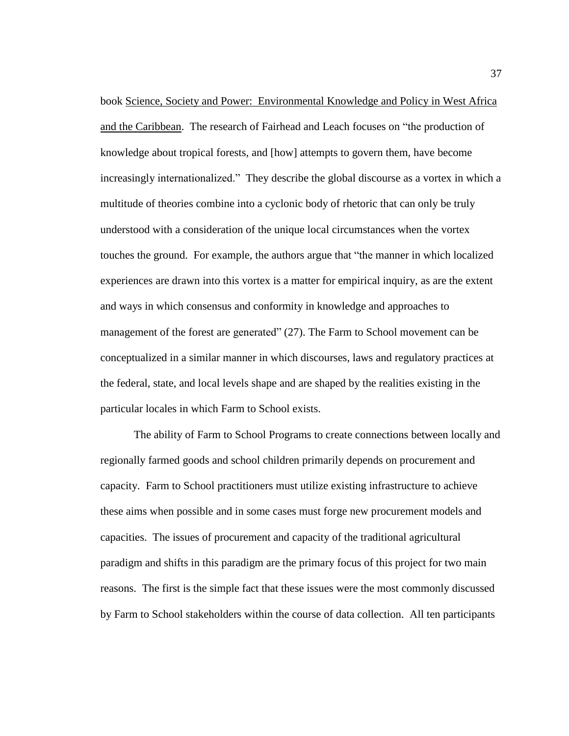book Science, Society and Power: Environmental Knowledge and Policy in West Africa and the Caribbean. The research of Fairhead and Leach focuses on "the production of knowledge about tropical forests, and [how] attempts to govern them, have become increasingly internationalized." They describe the global discourse as a vortex in which a multitude of theories combine into a cyclonic body of rhetoric that can only be truly understood with a consideration of the unique local circumstances when the vortex touches the ground. For example, the authors argue that "the manner in which localized experiences are drawn into this vortex is a matter for empirical inquiry, as are the extent and ways in which consensus and conformity in knowledge and approaches to management of the forest are generated" (27). The Farm to School movement can be conceptualized in a similar manner in which discourses, laws and regulatory practices at the federal, state, and local levels shape and are shaped by the realities existing in the particular locales in which Farm to School exists.

The ability of Farm to School Programs to create connections between locally and regionally farmed goods and school children primarily depends on procurement and capacity. Farm to School practitioners must utilize existing infrastructure to achieve these aims when possible and in some cases must forge new procurement models and capacities. The issues of procurement and capacity of the traditional agricultural paradigm and shifts in this paradigm are the primary focus of this project for two main reasons. The first is the simple fact that these issues were the most commonly discussed by Farm to School stakeholders within the course of data collection. All ten participants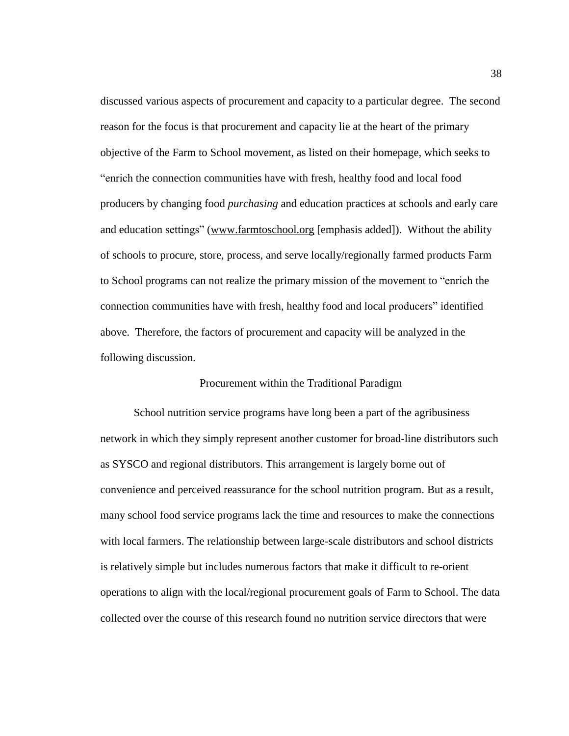discussed various aspects of procurement and capacity to a particular degree. The second reason for the focus is that procurement and capacity lie at the heart of the primary objective of the Farm to School movement, as listed on their homepage, which seeks to "enrich the connection communities have with fresh, healthy food and local food producers by changing food *purchasing* and education practices at schools and early care and education settings" [\(www.farmtoschool.org](http://www.farmtoschool.org/) [emphasis added]). Without the ability of schools to procure, store, process, and serve locally/regionally farmed products Farm to School programs can not realize the primary mission of the movement to "enrich the connection communities have with fresh, healthy food and local producers" identified above. Therefore, the factors of procurement and capacity will be analyzed in the following discussion.

#### Procurement within the Traditional Paradigm

School nutrition service programs have long been a part of the agribusiness network in which they simply represent another customer for broad-line distributors such as SYSCO and regional distributors. This arrangement is largely borne out of convenience and perceived reassurance for the school nutrition program. But as a result, many school food service programs lack the time and resources to make the connections with local farmers. The relationship between large-scale distributors and school districts is relatively simple but includes numerous factors that make it difficult to re-orient operations to align with the local/regional procurement goals of Farm to School. The data collected over the course of this research found no nutrition service directors that were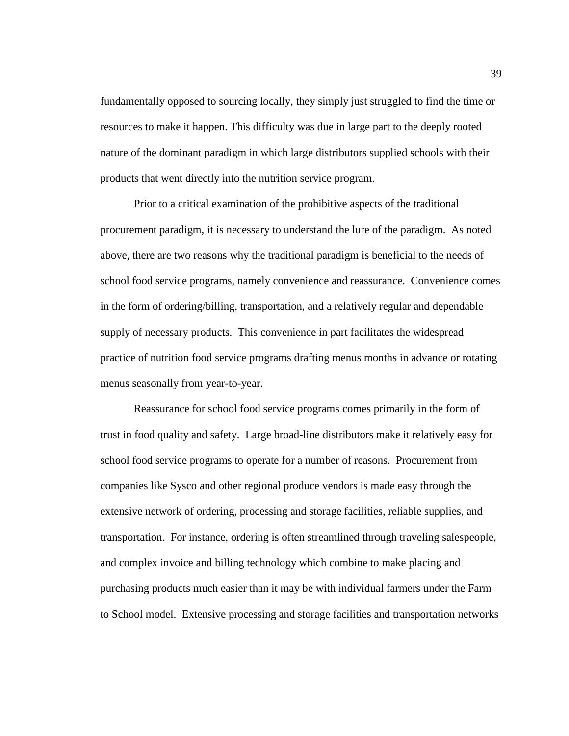fundamentally opposed to sourcing locally, they simply just struggled to find the time or resources to make it happen. This difficulty was due in large part to the deeply rooted nature of the dominant paradigm in which large distributors supplied schools with their products that went directly into the nutrition service program.

Prior to a critical examination of the prohibitive aspects of the traditional procurement paradigm, it is necessary to understand the lure of the paradigm. As noted above, there are two reasons why the traditional paradigm is beneficial to the needs of school food service programs, namely convenience and reassurance. Convenience comes in the form of ordering/billing, transportation, and a relatively regular and dependable supply of necessary products. This convenience in part facilitates the widespread practice of nutrition food service programs drafting menus months in advance or rotating menus seasonally from year-to-year.

Reassurance for school food service programs comes primarily in the form of trust in food quality and safety. Large broad-line distributors make it relatively easy for school food service programs to operate for a number of reasons. Procurement from companies like Sysco and other regional produce vendors is made easy through the extensive network of ordering, processing and storage facilities, reliable supplies, and transportation. For instance, ordering is often streamlined through traveling salespeople, and complex invoice and billing technology which combine to make placing and purchasing products much easier than it may be with individual farmers under the Farm to School model. Extensive processing and storage facilities and transportation networks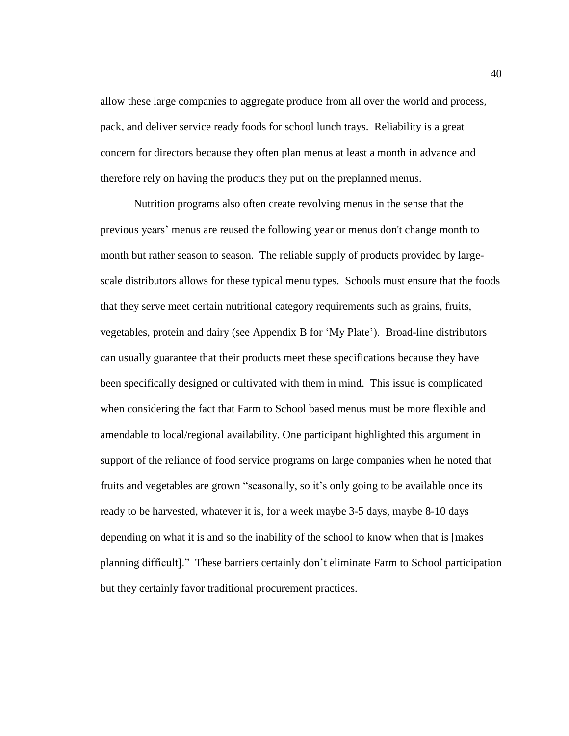allow these large companies to aggregate produce from all over the world and process, pack, and deliver service ready foods for school lunch trays. Reliability is a great concern for directors because they often plan menus at least a month in advance and therefore rely on having the products they put on the preplanned menus.

Nutrition programs also often create revolving menus in the sense that the previous years' menus are reused the following year or menus don't change month to month but rather season to season. The reliable supply of products provided by largescale distributors allows for these typical menu types. Schools must ensure that the foods that they serve meet certain nutritional category requirements such as grains, fruits, vegetables, protein and dairy (see Appendix B for 'My Plate'). Broad-line distributors can usually guarantee that their products meet these specifications because they have been specifically designed or cultivated with them in mind. This issue is complicated when considering the fact that Farm to School based menus must be more flexible and amendable to local/regional availability. One participant highlighted this argument in support of the reliance of food service programs on large companies when he noted that fruits and vegetables are grown "seasonally, so it's only going to be available once its ready to be harvested, whatever it is, for a week maybe 3-5 days, maybe 8-10 days depending on what it is and so the inability of the school to know when that is [makes planning difficult]." These barriers certainly don't eliminate Farm to School participation but they certainly favor traditional procurement practices.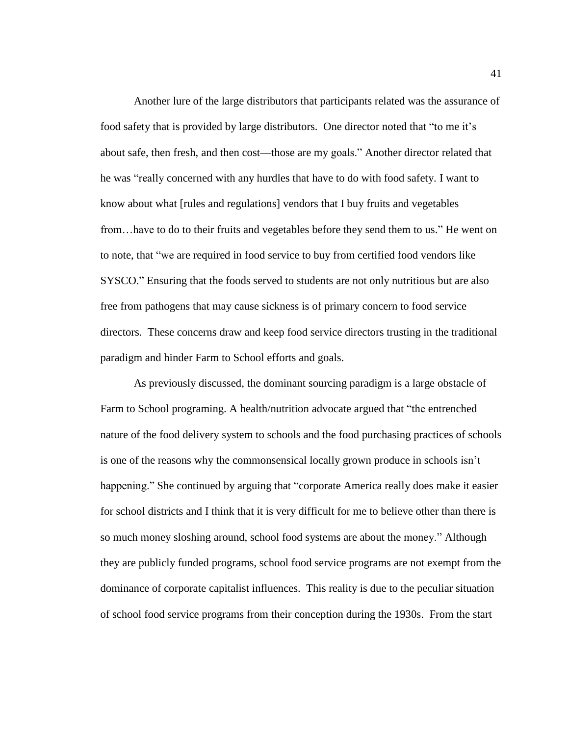Another lure of the large distributors that participants related was the assurance of food safety that is provided by large distributors. One director noted that "to me it's about safe, then fresh, and then cost—those are my goals." Another director related that he was "really concerned with any hurdles that have to do with food safety. I want to know about what [rules and regulations] vendors that I buy fruits and vegetables from…have to do to their fruits and vegetables before they send them to us." He went on to note, that "we are required in food service to buy from certified food vendors like SYSCO." Ensuring that the foods served to students are not only nutritious but are also free from pathogens that may cause sickness is of primary concern to food service directors. These concerns draw and keep food service directors trusting in the traditional paradigm and hinder Farm to School efforts and goals.

As previously discussed, the dominant sourcing paradigm is a large obstacle of Farm to School programing. A health/nutrition advocate argued that "the entrenched nature of the food delivery system to schools and the food purchasing practices of schools is one of the reasons why the commonsensical locally grown produce in schools isn't happening." She continued by arguing that "corporate America really does make it easier for school districts and I think that it is very difficult for me to believe other than there is so much money sloshing around, school food systems are about the money." Although they are publicly funded programs, school food service programs are not exempt from the dominance of corporate capitalist influences. This reality is due to the peculiar situation of school food service programs from their conception during the 1930s. From the start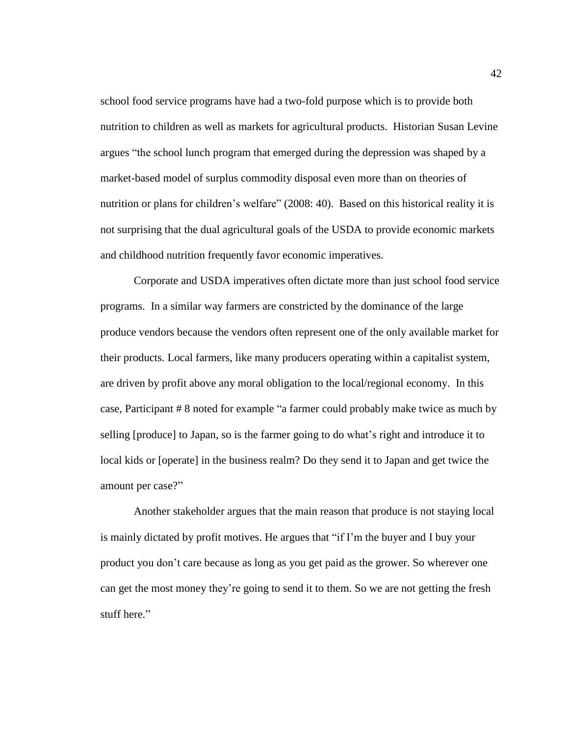school food service programs have had a two-fold purpose which is to provide both nutrition to children as well as markets for agricultural products. Historian Susan Levine argues "the school lunch program that emerged during the depression was shaped by a market-based model of surplus commodity disposal even more than on theories of nutrition or plans for children's welfare" (2008: 40). Based on this historical reality it is not surprising that the dual agricultural goals of the USDA to provide economic markets and childhood nutrition frequently favor economic imperatives.

Corporate and USDA imperatives often dictate more than just school food service programs. In a similar way farmers are constricted by the dominance of the large produce vendors because the vendors often represent one of the only available market for their products. Local farmers, like many producers operating within a capitalist system, are driven by profit above any moral obligation to the local/regional economy. In this case, Participant # 8 noted for example "a farmer could probably make twice as much by selling [produce] to Japan, so is the farmer going to do what's right and introduce it to local kids or [operate] in the business realm? Do they send it to Japan and get twice the amount per case?"

Another stakeholder argues that the main reason that produce is not staying local is mainly dictated by profit motives. He argues that "if I'm the buyer and I buy your product you don't care because as long as you get paid as the grower. So wherever one can get the most money they're going to send it to them. So we are not getting the fresh stuff here."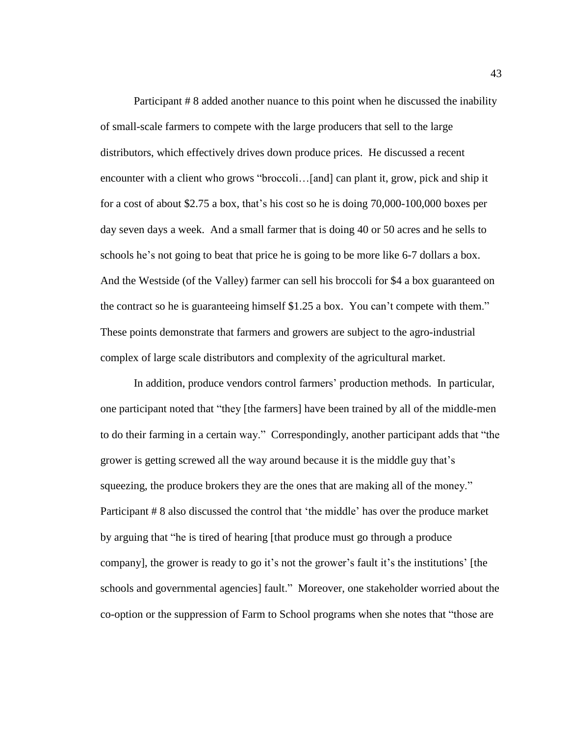Participant # 8 added another nuance to this point when he discussed the inability of small-scale farmers to compete with the large producers that sell to the large distributors, which effectively drives down produce prices. He discussed a recent encounter with a client who grows "broccoli...[and] can plant it, grow, pick and ship it for a cost of about \$2.75 a box, that's his cost so he is doing 70,000-100,000 boxes per day seven days a week. And a small farmer that is doing 40 or 50 acres and he sells to schools he's not going to beat that price he is going to be more like 6-7 dollars a box. And the Westside (of the Valley) farmer can sell his broccoli for \$4 a box guaranteed on the contract so he is guaranteeing himself \$1.25 a box. You can't compete with them." These points demonstrate that farmers and growers are subject to the agro-industrial complex of large scale distributors and complexity of the agricultural market.

In addition, produce vendors control farmers' production methods. In particular, one participant noted that "they [the farmers] have been trained by all of the middle-men to do their farming in a certain way." Correspondingly, another participant adds that "the grower is getting screwed all the way around because it is the middle guy that's squeezing, the produce brokers they are the ones that are making all of the money." Participant # 8 also discussed the control that 'the middle' has over the produce market by arguing that "he is tired of hearing [that produce must go through a produce company], the grower is ready to go it's not the grower's fault it's the institutions' [the schools and governmental agencies] fault." Moreover, one stakeholder worried about the co-option or the suppression of Farm to School programs when she notes that "those are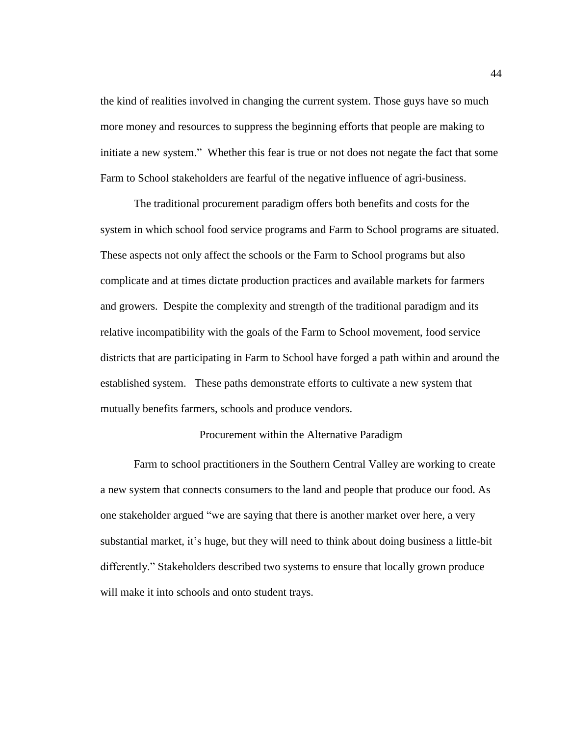the kind of realities involved in changing the current system. Those guys have so much more money and resources to suppress the beginning efforts that people are making to initiate a new system." Whether this fear is true or not does not negate the fact that some Farm to School stakeholders are fearful of the negative influence of agri-business.

The traditional procurement paradigm offers both benefits and costs for the system in which school food service programs and Farm to School programs are situated. These aspects not only affect the schools or the Farm to School programs but also complicate and at times dictate production practices and available markets for farmers and growers. Despite the complexity and strength of the traditional paradigm and its relative incompatibility with the goals of the Farm to School movement, food service districts that are participating in Farm to School have forged a path within and around the established system. These paths demonstrate efforts to cultivate a new system that mutually benefits farmers, schools and produce vendors.

# Procurement within the Alternative Paradigm

Farm to school practitioners in the Southern Central Valley are working to create a new system that connects consumers to the land and people that produce our food. As one stakeholder argued "we are saying that there is another market over here, a very substantial market, it's huge, but they will need to think about doing business a little-bit differently." Stakeholders described two systems to ensure that locally grown produce will make it into schools and onto student trays.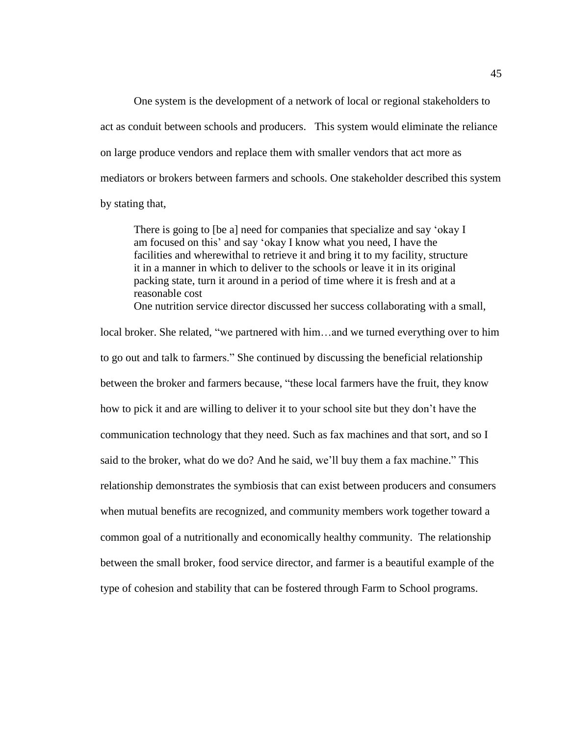One system is the development of a network of local or regional stakeholders to act as conduit between schools and producers. This system would eliminate the reliance on large produce vendors and replace them with smaller vendors that act more as mediators or brokers between farmers and schools. One stakeholder described this system by stating that,

There is going to [be a] need for companies that specialize and say 'okay I am focused on this' and say 'okay I know what you need, I have the facilities and wherewithal to retrieve it and bring it to my facility, structure it in a manner in which to deliver to the schools or leave it in its original packing state, turn it around in a period of time where it is fresh and at a reasonable cost

One nutrition service director discussed her success collaborating with a small,

local broker. She related, "we partnered with him…and we turned everything over to him to go out and talk to farmers." She continued by discussing the beneficial relationship between the broker and farmers because, "these local farmers have the fruit, they know how to pick it and are willing to deliver it to your school site but they don't have the communication technology that they need. Such as fax machines and that sort, and so I said to the broker, what do we do? And he said, we'll buy them a fax machine." This relationship demonstrates the symbiosis that can exist between producers and consumers when mutual benefits are recognized, and community members work together toward a common goal of a nutritionally and economically healthy community. The relationship between the small broker, food service director, and farmer is a beautiful example of the type of cohesion and stability that can be fostered through Farm to School programs.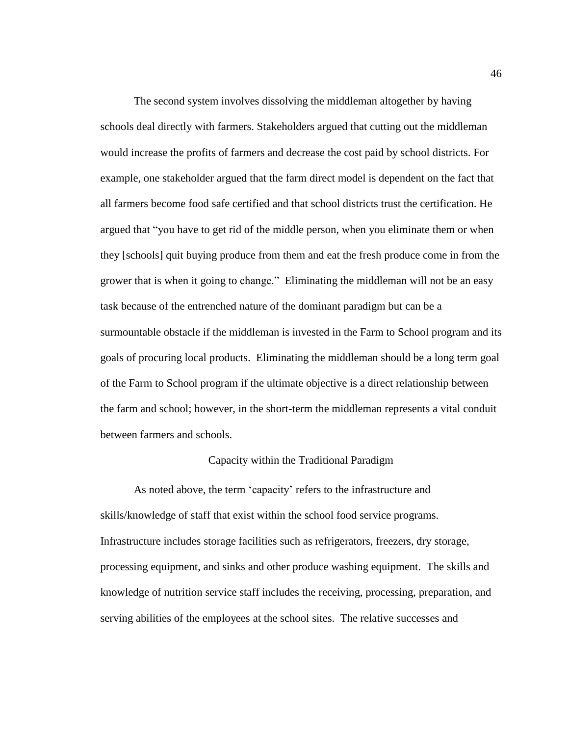The second system involves dissolving the middleman altogether by having schools deal directly with farmers. Stakeholders argued that cutting out the middleman would increase the profits of farmers and decrease the cost paid by school districts. For example, one stakeholder argued that the farm direct model is dependent on the fact that all farmers become food safe certified and that school districts trust the certification. He argued that "you have to get rid of the middle person, when you eliminate them or when they [schools] quit buying produce from them and eat the fresh produce come in from the grower that is when it going to change." Eliminating the middleman will not be an easy task because of the entrenched nature of the dominant paradigm but can be a surmountable obstacle if the middleman is invested in the Farm to School program and its goals of procuring local products. Eliminating the middleman should be a long term goal of the Farm to School program if the ultimate objective is a direct relationship between the farm and school; however, in the short-term the middleman represents a vital conduit between farmers and schools.

## Capacity within the Traditional Paradigm

As noted above, the term 'capacity' refers to the infrastructure and skills/knowledge of staff that exist within the school food service programs. Infrastructure includes storage facilities such as refrigerators, freezers, dry storage, processing equipment, and sinks and other produce washing equipment. The skills and knowledge of nutrition service staff includes the receiving, processing, preparation, and serving abilities of the employees at the school sites. The relative successes and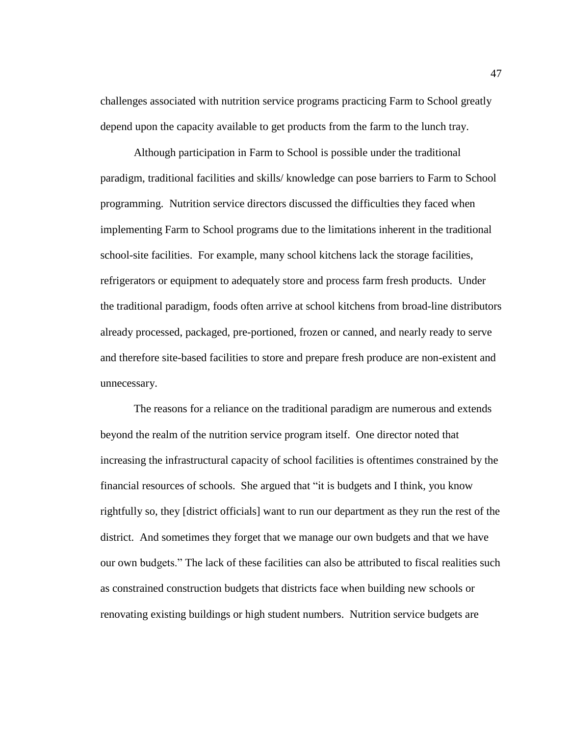challenges associated with nutrition service programs practicing Farm to School greatly depend upon the capacity available to get products from the farm to the lunch tray.

Although participation in Farm to School is possible under the traditional paradigm, traditional facilities and skills/ knowledge can pose barriers to Farm to School programming. Nutrition service directors discussed the difficulties they faced when implementing Farm to School programs due to the limitations inherent in the traditional school-site facilities. For example, many school kitchens lack the storage facilities, refrigerators or equipment to adequately store and process farm fresh products. Under the traditional paradigm, foods often arrive at school kitchens from broad-line distributors already processed, packaged, pre-portioned, frozen or canned, and nearly ready to serve and therefore site-based facilities to store and prepare fresh produce are non-existent and unnecessary.

The reasons for a reliance on the traditional paradigm are numerous and extends beyond the realm of the nutrition service program itself. One director noted that increasing the infrastructural capacity of school facilities is oftentimes constrained by the financial resources of schools. She argued that "it is budgets and I think, you know rightfully so, they [district officials] want to run our department as they run the rest of the district. And sometimes they forget that we manage our own budgets and that we have our own budgets." The lack of these facilities can also be attributed to fiscal realities such as constrained construction budgets that districts face when building new schools or renovating existing buildings or high student numbers. Nutrition service budgets are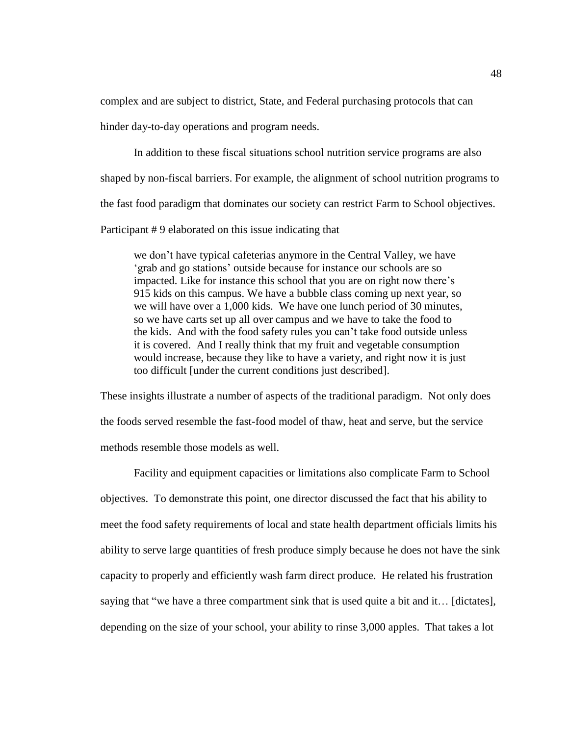complex and are subject to district, State, and Federal purchasing protocols that can

hinder day-to-day operations and program needs.

In addition to these fiscal situations school nutrition service programs are also shaped by non-fiscal barriers. For example, the alignment of school nutrition programs to the fast food paradigm that dominates our society can restrict Farm to School objectives. Participant # 9 elaborated on this issue indicating that

we don't have typical cafeterias anymore in the Central Valley, we have 'grab and go stations' outside because for instance our schools are so impacted. Like for instance this school that you are on right now there's 915 kids on this campus. We have a bubble class coming up next year, so we will have over a 1,000 kids. We have one lunch period of 30 minutes, so we have carts set up all over campus and we have to take the food to the kids. And with the food safety rules you can't take food outside unless it is covered. And I really think that my fruit and vegetable consumption would increase, because they like to have a variety, and right now it is just too difficult [under the current conditions just described].

These insights illustrate a number of aspects of the traditional paradigm. Not only does the foods served resemble the fast-food model of thaw, heat and serve, but the service methods resemble those models as well.

Facility and equipment capacities or limitations also complicate Farm to School objectives. To demonstrate this point, one director discussed the fact that his ability to meet the food safety requirements of local and state health department officials limits his ability to serve large quantities of fresh produce simply because he does not have the sink capacity to properly and efficiently wash farm direct produce. He related his frustration saying that "we have a three compartment sink that is used quite a bit and it… [dictates], depending on the size of your school, your ability to rinse 3,000 apples. That takes a lot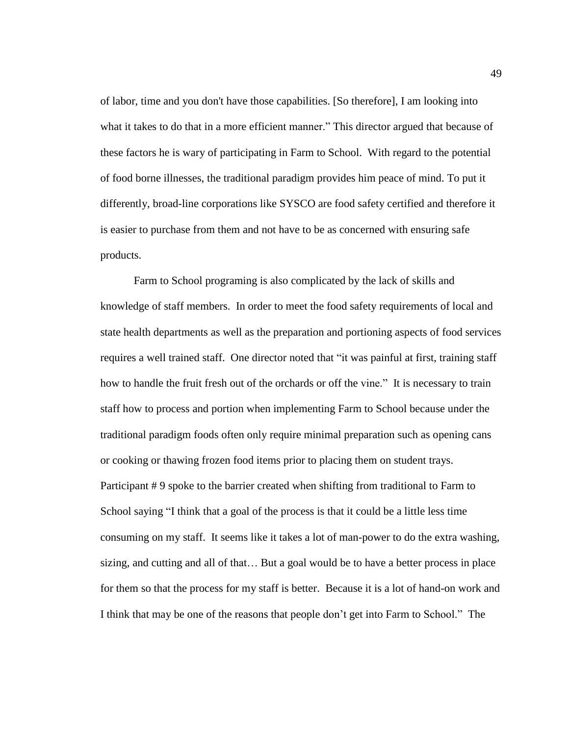of labor, time and you don't have those capabilities. [So therefore], I am looking into what it takes to do that in a more efficient manner." This director argued that because of these factors he is wary of participating in Farm to School. With regard to the potential of food borne illnesses, the traditional paradigm provides him peace of mind. To put it differently, broad-line corporations like SYSCO are food safety certified and therefore it is easier to purchase from them and not have to be as concerned with ensuring safe products.

Farm to School programing is also complicated by the lack of skills and knowledge of staff members. In order to meet the food safety requirements of local and state health departments as well as the preparation and portioning aspects of food services requires a well trained staff. One director noted that "it was painful at first, training staff how to handle the fruit fresh out of the orchards or off the vine." It is necessary to train staff how to process and portion when implementing Farm to School because under the traditional paradigm foods often only require minimal preparation such as opening cans or cooking or thawing frozen food items prior to placing them on student trays. Participant #9 spoke to the barrier created when shifting from traditional to Farm to School saying "I think that a goal of the process is that it could be a little less time consuming on my staff. It seems like it takes a lot of man-power to do the extra washing, sizing, and cutting and all of that… But a goal would be to have a better process in place for them so that the process for my staff is better. Because it is a lot of hand-on work and I think that may be one of the reasons that people don't get into Farm to School." The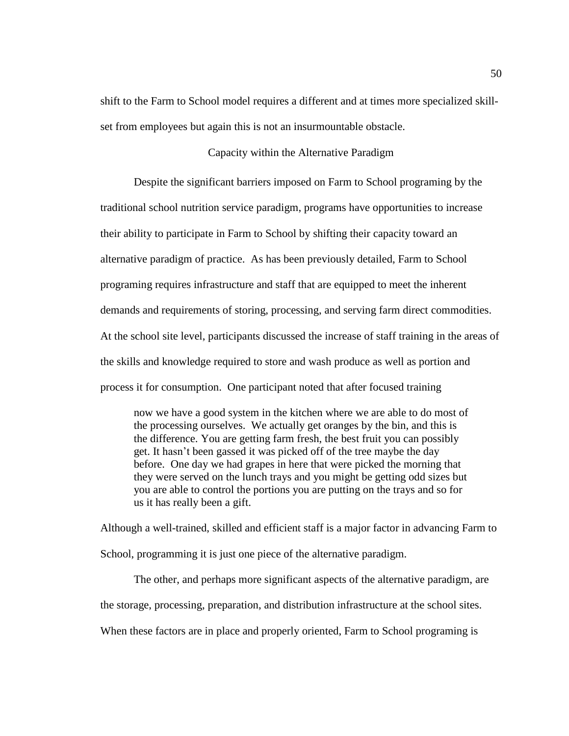shift to the Farm to School model requires a different and at times more specialized skillset from employees but again this is not an insurmountable obstacle.

# Capacity within the Alternative Paradigm

Despite the significant barriers imposed on Farm to School programing by the traditional school nutrition service paradigm, programs have opportunities to increase their ability to participate in Farm to School by shifting their capacity toward an alternative paradigm of practice. As has been previously detailed, Farm to School programing requires infrastructure and staff that are equipped to meet the inherent demands and requirements of storing, processing, and serving farm direct commodities. At the school site level, participants discussed the increase of staff training in the areas of the skills and knowledge required to store and wash produce as well as portion and process it for consumption. One participant noted that after focused training

now we have a good system in the kitchen where we are able to do most of the processing ourselves. We actually get oranges by the bin, and this is the difference. You are getting farm fresh, the best fruit you can possibly get. It hasn't been gassed it was picked off of the tree maybe the day before. One day we had grapes in here that were picked the morning that they were served on the lunch trays and you might be getting odd sizes but you are able to control the portions you are putting on the trays and so for us it has really been a gift.

Although a well-trained, skilled and efficient staff is a major factor in advancing Farm to School, programming it is just one piece of the alternative paradigm.

The other, and perhaps more significant aspects of the alternative paradigm, are the storage, processing, preparation, and distribution infrastructure at the school sites. When these factors are in place and properly oriented, Farm to School programing is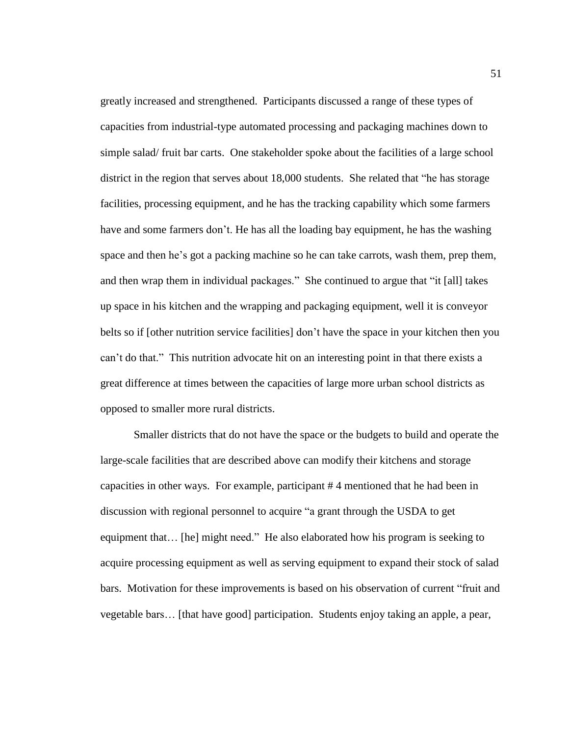greatly increased and strengthened. Participants discussed a range of these types of capacities from industrial-type automated processing and packaging machines down to simple salad/ fruit bar carts. One stakeholder spoke about the facilities of a large school district in the region that serves about 18,000 students. She related that "he has storage facilities, processing equipment, and he has the tracking capability which some farmers have and some farmers don't. He has all the loading bay equipment, he has the washing space and then he's got a packing machine so he can take carrots, wash them, prep them, and then wrap them in individual packages." She continued to argue that "it [all] takes up space in his kitchen and the wrapping and packaging equipment, well it is conveyor belts so if [other nutrition service facilities] don't have the space in your kitchen then you can't do that." This nutrition advocate hit on an interesting point in that there exists a great difference at times between the capacities of large more urban school districts as opposed to smaller more rural districts.

Smaller districts that do not have the space or the budgets to build and operate the large-scale facilities that are described above can modify their kitchens and storage capacities in other ways. For example, participant # 4 mentioned that he had been in discussion with regional personnel to acquire "a grant through the USDA to get equipment that… [he] might need." He also elaborated how his program is seeking to acquire processing equipment as well as serving equipment to expand their stock of salad bars. Motivation for these improvements is based on his observation of current "fruit and vegetable bars… [that have good] participation. Students enjoy taking an apple, a pear,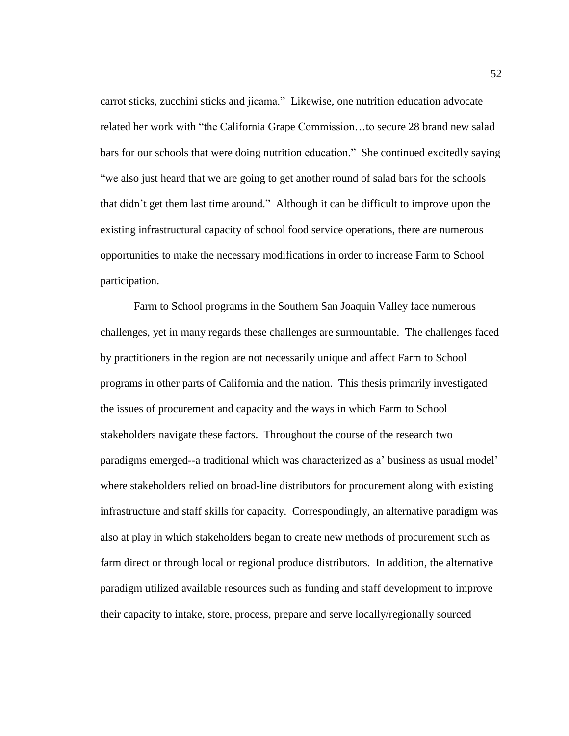carrot sticks, zucchini sticks and jicama." Likewise, one nutrition education advocate related her work with "the California Grape Commission…to secure 28 brand new salad bars for our schools that were doing nutrition education." She continued excitedly saying "we also just heard that we are going to get another round of salad bars for the schools that didn't get them last time around." Although it can be difficult to improve upon the existing infrastructural capacity of school food service operations, there are numerous opportunities to make the necessary modifications in order to increase Farm to School participation.

Farm to School programs in the Southern San Joaquin Valley face numerous challenges, yet in many regards these challenges are surmountable. The challenges faced by practitioners in the region are not necessarily unique and affect Farm to School programs in other parts of California and the nation. This thesis primarily investigated the issues of procurement and capacity and the ways in which Farm to School stakeholders navigate these factors. Throughout the course of the research two paradigms emerged--a traditional which was characterized as a' business as usual model' where stakeholders relied on broad-line distributors for procurement along with existing infrastructure and staff skills for capacity. Correspondingly, an alternative paradigm was also at play in which stakeholders began to create new methods of procurement such as farm direct or through local or regional produce distributors. In addition, the alternative paradigm utilized available resources such as funding and staff development to improve their capacity to intake, store, process, prepare and serve locally/regionally sourced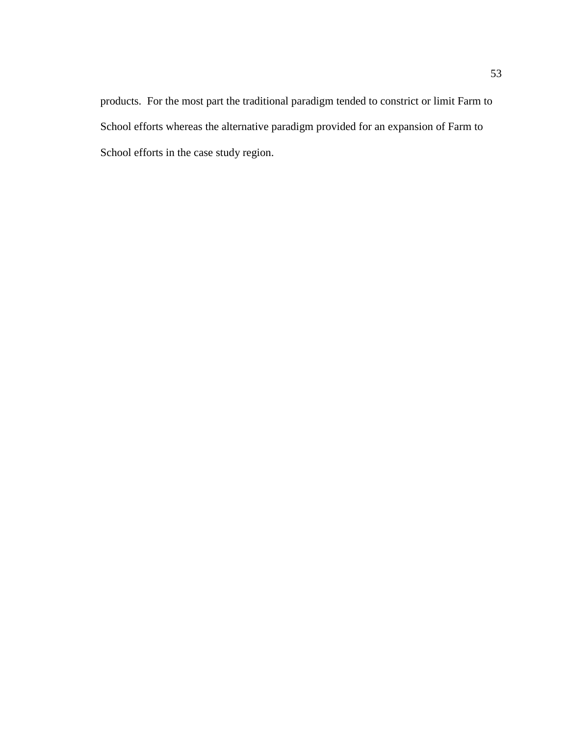products. For the most part the traditional paradigm tended to constrict or limit Farm to School efforts whereas the alternative paradigm provided for an expansion of Farm to School efforts in the case study region.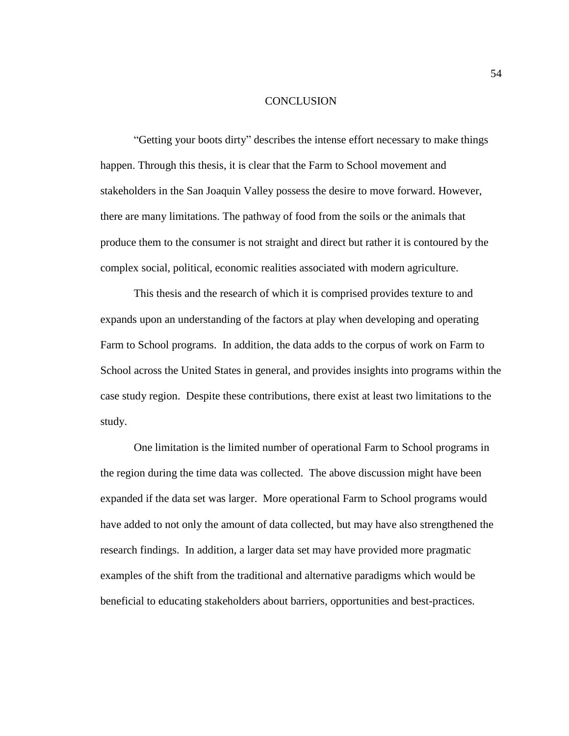#### **CONCLUSION**

"Getting your boots dirty" describes the intense effort necessary to make things happen. Through this thesis, it is clear that the Farm to School movement and stakeholders in the San Joaquin Valley possess the desire to move forward. However, there are many limitations. The pathway of food from the soils or the animals that produce them to the consumer is not straight and direct but rather it is contoured by the complex social, political, economic realities associated with modern agriculture.

This thesis and the research of which it is comprised provides texture to and expands upon an understanding of the factors at play when developing and operating Farm to School programs. In addition, the data adds to the corpus of work on Farm to School across the United States in general, and provides insights into programs within the case study region. Despite these contributions, there exist at least two limitations to the study.

One limitation is the limited number of operational Farm to School programs in the region during the time data was collected. The above discussion might have been expanded if the data set was larger. More operational Farm to School programs would have added to not only the amount of data collected, but may have also strengthened the research findings. In addition, a larger data set may have provided more pragmatic examples of the shift from the traditional and alternative paradigms which would be beneficial to educating stakeholders about barriers, opportunities and best-practices.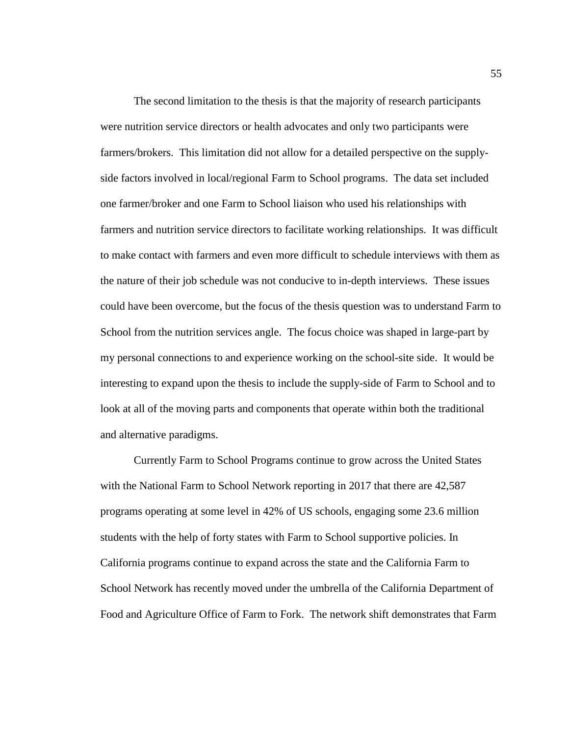The second limitation to the thesis is that the majority of research participants were nutrition service directors or health advocates and only two participants were farmers/brokers. This limitation did not allow for a detailed perspective on the supplyside factors involved in local/regional Farm to School programs. The data set included one farmer/broker and one Farm to School liaison who used his relationships with farmers and nutrition service directors to facilitate working relationships. It was difficult to make contact with farmers and even more difficult to schedule interviews with them as the nature of their job schedule was not conducive to in-depth interviews. These issues could have been overcome, but the focus of the thesis question was to understand Farm to School from the nutrition services angle. The focus choice was shaped in large-part by my personal connections to and experience working on the school-site side. It would be interesting to expand upon the thesis to include the supply-side of Farm to School and to look at all of the moving parts and components that operate within both the traditional and alternative paradigms.

Currently Farm to School Programs continue to grow across the United States with the National Farm to School Network reporting in 2017 that there are 42,587 programs operating at some level in 42% of US schools, engaging some 23.6 million students with the help of forty states with Farm to School supportive policies. In California programs continue to expand across the state and the California Farm to School Network has recently moved under the umbrella of the California Department of Food and Agriculture Office of Farm to Fork. The network shift demonstrates that Farm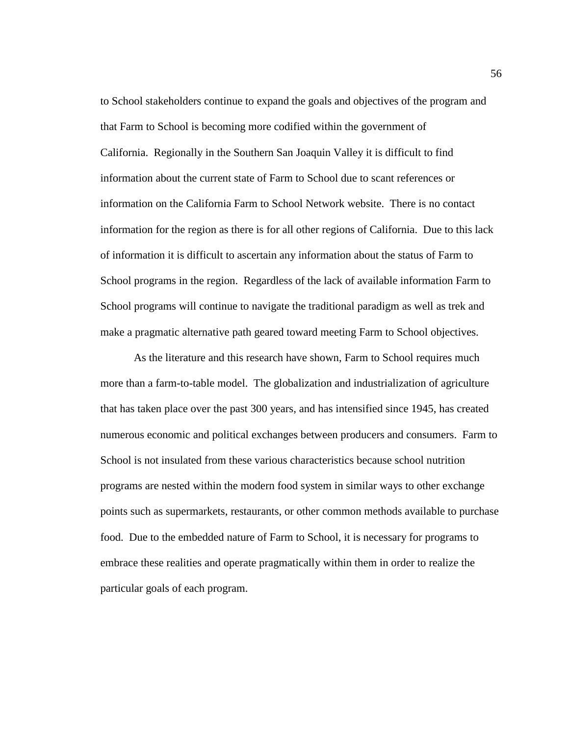to School stakeholders continue to expand the goals and objectives of the program and that Farm to School is becoming more codified within the government of California. Regionally in the Southern San Joaquin Valley it is difficult to find information about the current state of Farm to School due to scant references or information on the California Farm to School Network website. There is no contact information for the region as there is for all other regions of California. Due to this lack of information it is difficult to ascertain any information about the status of Farm to School programs in the region. Regardless of the lack of available information Farm to School programs will continue to navigate the traditional paradigm as well as trek and make a pragmatic alternative path geared toward meeting Farm to School objectives.

As the literature and this research have shown, Farm to School requires much more than a farm-to-table model. The globalization and industrialization of agriculture that has taken place over the past 300 years, and has intensified since 1945, has created numerous economic and political exchanges between producers and consumers. Farm to School is not insulated from these various characteristics because school nutrition programs are nested within the modern food system in similar ways to other exchange points such as supermarkets, restaurants, or other common methods available to purchase food. Due to the embedded nature of Farm to School, it is necessary for programs to embrace these realities and operate pragmatically within them in order to realize the particular goals of each program.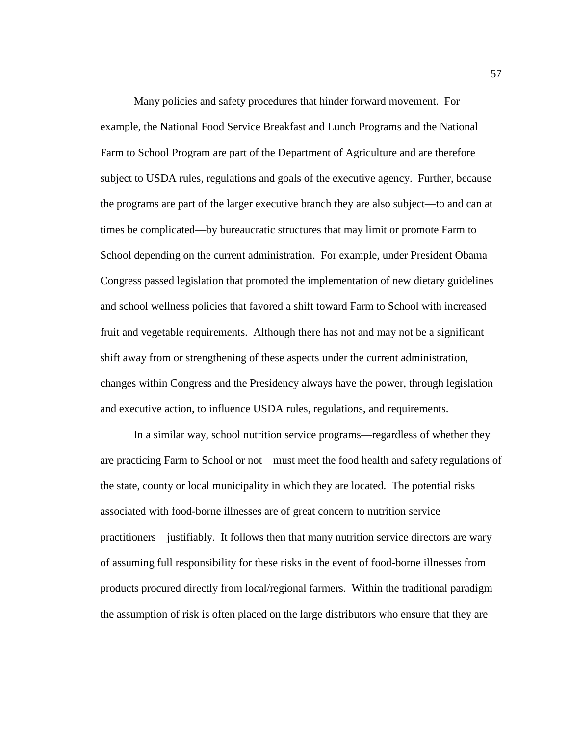Many policies and safety procedures that hinder forward movement. For example, the National Food Service Breakfast and Lunch Programs and the National Farm to School Program are part of the Department of Agriculture and are therefore subject to USDA rules, regulations and goals of the executive agency. Further, because the programs are part of the larger executive branch they are also subject—to and can at times be complicated—by bureaucratic structures that may limit or promote Farm to School depending on the current administration. For example, under President Obama Congress passed legislation that promoted the implementation of new dietary guidelines and school wellness policies that favored a shift toward Farm to School with increased fruit and vegetable requirements. Although there has not and may not be a significant shift away from or strengthening of these aspects under the current administration, changes within Congress and the Presidency always have the power, through legislation and executive action, to influence USDA rules, regulations, and requirements.

In a similar way, school nutrition service programs—regardless of whether they are practicing Farm to School or not—must meet the food health and safety regulations of the state, county or local municipality in which they are located. The potential risks associated with food-borne illnesses are of great concern to nutrition service practitioners—justifiably. It follows then that many nutrition service directors are wary of assuming full responsibility for these risks in the event of food-borne illnesses from products procured directly from local/regional farmers. Within the traditional paradigm the assumption of risk is often placed on the large distributors who ensure that they are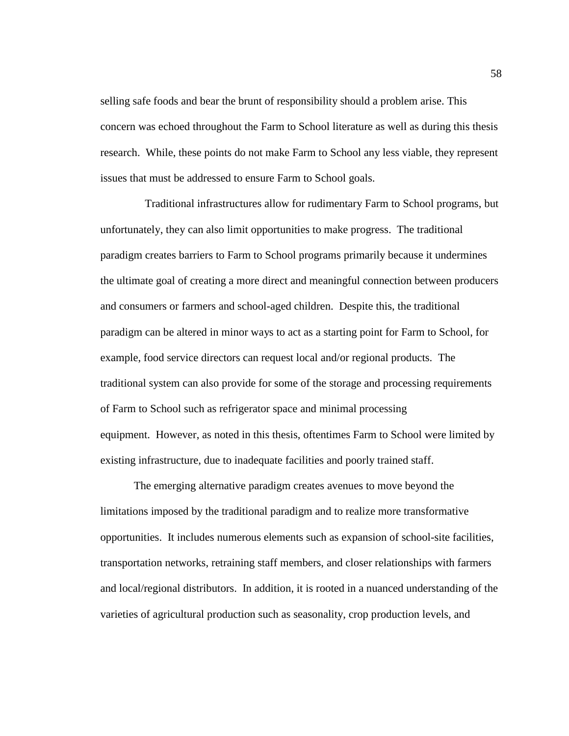selling safe foods and bear the brunt of responsibility should a problem arise. This concern was echoed throughout the Farm to School literature as well as during this thesis research. While, these points do not make Farm to School any less viable, they represent issues that must be addressed to ensure Farm to School goals.

Traditional infrastructures allow for rudimentary Farm to School programs, but unfortunately, they can also limit opportunities to make progress. The traditional paradigm creates barriers to Farm to School programs primarily because it undermines the ultimate goal of creating a more direct and meaningful connection between producers and consumers or farmers and school-aged children. Despite this, the traditional paradigm can be altered in minor ways to act as a starting point for Farm to School, for example, food service directors can request local and/or regional products. The traditional system can also provide for some of the storage and processing requirements of Farm to School such as refrigerator space and minimal processing equipment. However, as noted in this thesis, oftentimes Farm to School were limited by existing infrastructure, due to inadequate facilities and poorly trained staff.

The emerging alternative paradigm creates avenues to move beyond the limitations imposed by the traditional paradigm and to realize more transformative opportunities. It includes numerous elements such as expansion of school-site facilities, transportation networks, retraining staff members, and closer relationships with farmers and local/regional distributors. In addition, it is rooted in a nuanced understanding of the varieties of agricultural production such as seasonality, crop production levels, and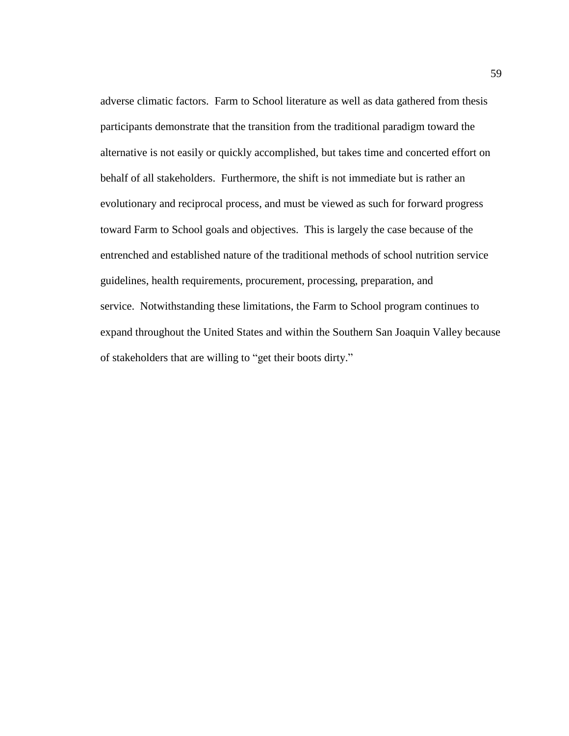adverse climatic factors. Farm to School literature as well as data gathered from thesis participants demonstrate that the transition from the traditional paradigm toward the alternative is not easily or quickly accomplished, but takes time and concerted effort on behalf of all stakeholders. Furthermore, the shift is not immediate but is rather an evolutionary and reciprocal process, and must be viewed as such for forward progress toward Farm to School goals and objectives. This is largely the case because of the entrenched and established nature of the traditional methods of school nutrition service guidelines, health requirements, procurement, processing, preparation, and service. Notwithstanding these limitations, the Farm to School program continues to expand throughout the United States and within the Southern San Joaquin Valley because of stakeholders that are willing to "get their boots dirty."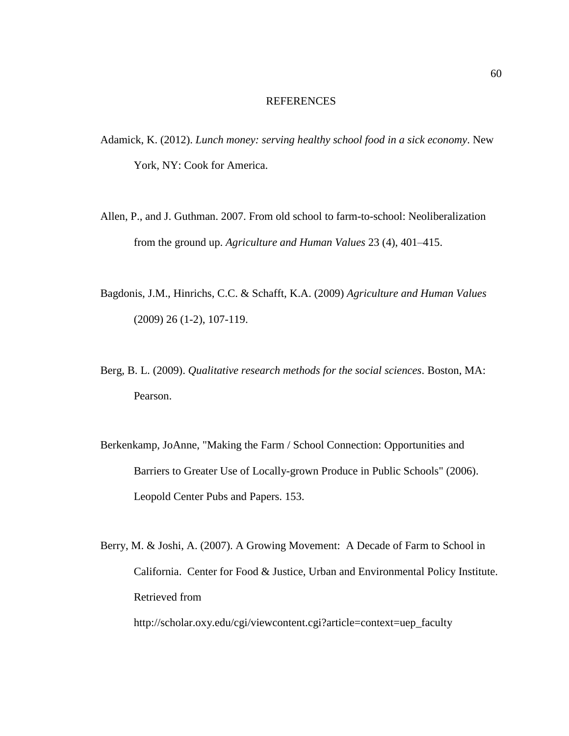#### REFERENCES

- Adamick, K. (2012). *Lunch money: serving healthy school food in a sick economy*. New York, NY: Cook for America.
- Allen, P., and J. Guthman. 2007. From old school to farm-to-school: Neoliberalization from the ground up. *Agriculture and Human Values* 23 (4), 401–415.
- Bagdonis, J.M., Hinrichs, C.C. & Schafft, K.A. (2009) *Agriculture and Human Values* (2009) 26 (1-2), 107-119.
- Berg, B. L. (2009). *Qualitative research methods for the social sciences*. Boston, MA: Pearson.
- Berkenkamp, JoAnne, "Making the Farm / School Connection: Opportunities and Barriers to Greater Use of Locally-grown Produce in Public Schools" (2006). Leopold Center Pubs and Papers. 153.
- Berry, M. & Joshi, A. (2007). A Growing Movement: A Decade of Farm to School in California. Center for Food & Justice, Urban and Environmental Policy Institute. Retrieved from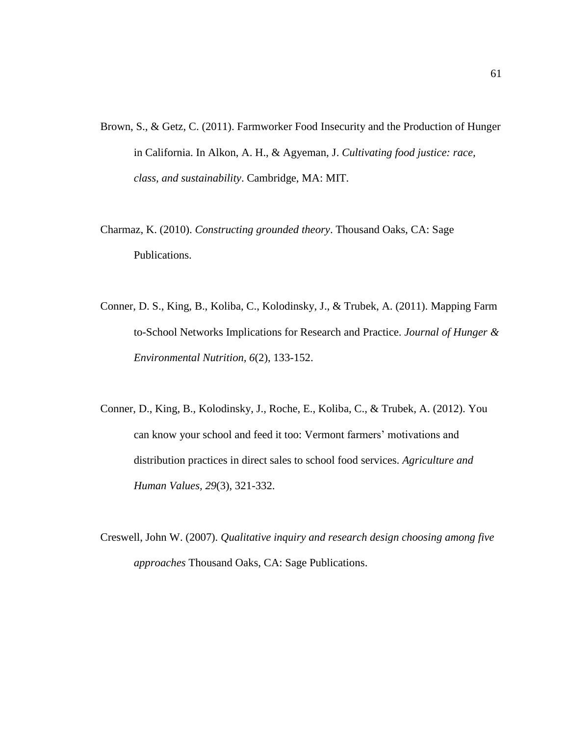- Brown, S., & Getz, C. (2011). Farmworker Food Insecurity and the Production of Hunger in California. In Alkon, A. H., & Agyeman, J. *Cultivating food justice: race, class, and sustainability*. Cambridge, MA: MIT.
- Charmaz, K. (2010). *Constructing grounded theory*. Thousand Oaks, CA: Sage Publications.
- Conner, D. S., King, B., Koliba, C., Kolodinsky, J., & Trubek, A. (2011). Mapping Farm to-School Networks Implications for Research and Practice. *Journal of Hunger & Environmental Nutrition, 6*(2), 133-152.
- Conner, D., King, B., Kolodinsky, J., Roche, E., Koliba, C., & Trubek, A. (2012). You can know your school and feed it too: Vermont farmers' motivations and distribution practices in direct sales to school food services. *Agriculture and Human Values, 29*(3), 321-332.
- Creswell, John W. (2007). *Qualitative inquiry and research design choosing among five approaches* Thousand Oaks, CA: Sage Publications.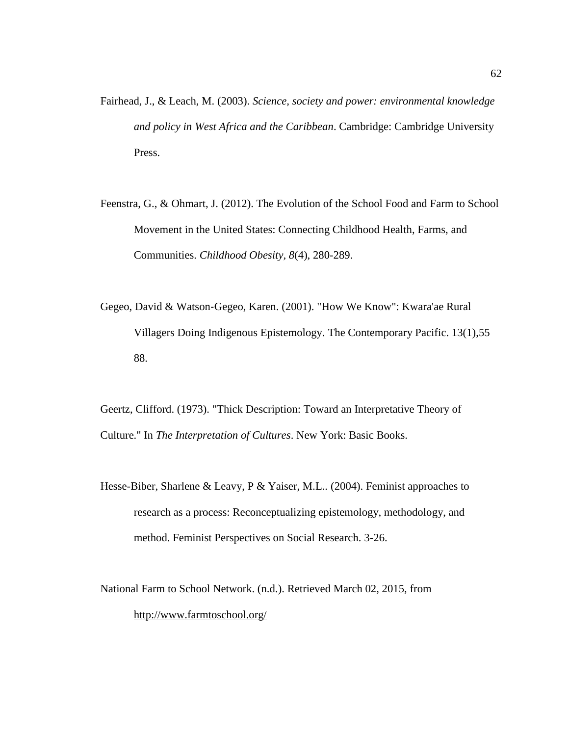- Fairhead, J., & Leach, M. (2003). *Science, society and power: environmental knowledge and policy in West Africa and the Caribbean*. Cambridge: Cambridge University Press.
- Feenstra, G., & Ohmart, J. (2012). The Evolution of the School Food and Farm to School Movement in the United States: Connecting Childhood Health, Farms, and Communities. *Childhood Obesity, 8*(4), 280-289.
- Gegeo, David & Watson‐Gegeo, Karen. (2001). "How We Know": Kwara'ae Rural Villagers Doing Indigenous Epistemology. The Contemporary Pacific. 13(1),55 88.

Geertz, Clifford. (1973). "Thick Description: Toward an Interpretative Theory of Culture." In *The Interpretation of Cultures*. New York: Basic Books.

- Hesse-Biber, Sharlene & Leavy, P & Yaiser, M.L.. (2004). Feminist approaches to research as a process: Reconceptualizing epistemology, methodology, and method. Feminist Perspectives on Social Research. 3-26.
- National Farm to School Network. (n.d.). Retrieved March 02, 2015, from <http://www.farmtoschool.org/>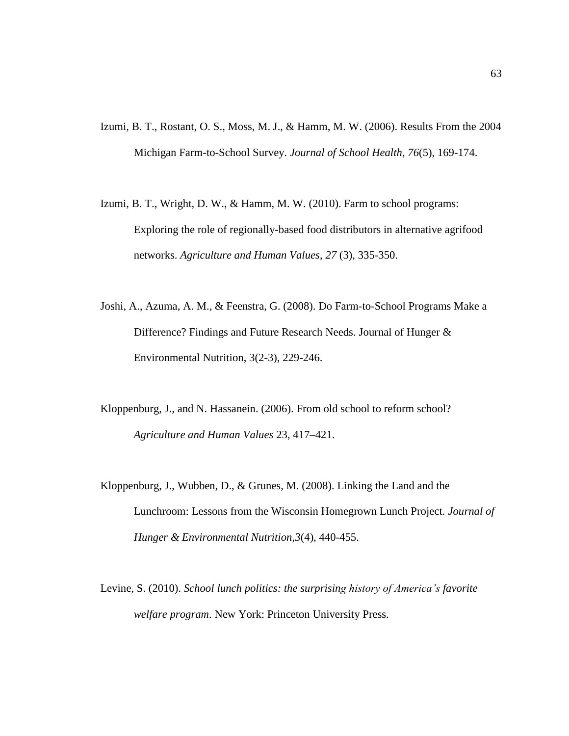- Izumi, B. T., Rostant, O. S., Moss, M. J., & Hamm, M. W. (2006). Results From the 2004 Michigan Farm-to-School Survey. *Journal of School Health, 76*(5), 169-174.
- Izumi, B. T., Wright, D. W., & Hamm, M. W. (2010). Farm to school programs: Exploring the role of regionally-based food distributors in alternative agrifood networks. *Agriculture and Human Values*, *27* (3), 335-350.
- Joshi, A., Azuma, A. M., & Feenstra, G. (2008). Do Farm-to-School Programs Make a Difference? Findings and Future Research Needs. Journal of Hunger & Environmental Nutrition, 3(2-3), 229-246.
- Kloppenburg, J., and N. Hassanein. (2006). From old school to reform school? *Agriculture and Human Values* 23, 417–421.
- Kloppenburg, J., Wubben, D., & Grunes, M. (2008). Linking the Land and the Lunchroom: Lessons from the Wisconsin Homegrown Lunch Project. *Journal of Hunger & Environmental Nutrition,3*(4), 440-455.
- Levine, S. (2010). *School lunch politics: the surprising history of America's favorite welfare program*. New York: Princeton University Press.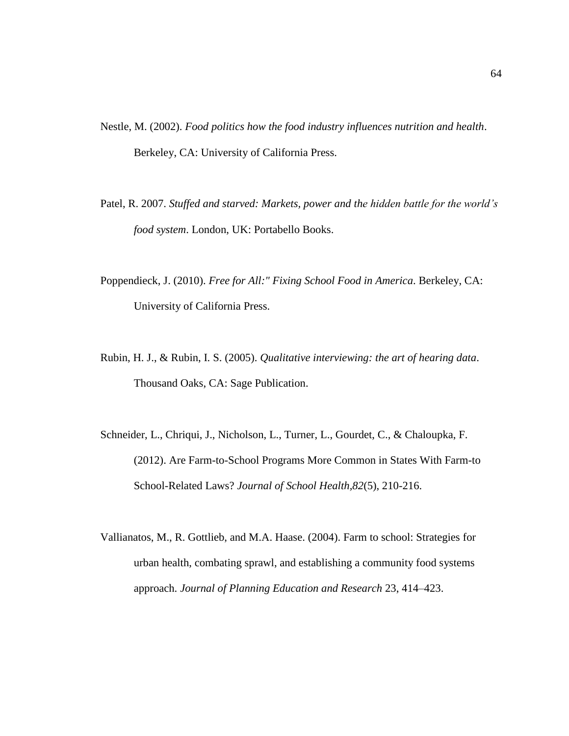- Nestle, M. (2002). *Food politics how the food industry influences nutrition and health*. Berkeley, CA: University of California Press.
- Patel, R. 2007. *Stuffed and starved: Markets, power and the hidden battle for the world's food system*. London, UK: Portabello Books.
- Poppendieck, J. (2010). *Free for All:" Fixing School Food in America*. Berkeley, CA: University of California Press.
- Rubin, H. J., & Rubin, I. S. (2005). *Qualitative interviewing: the art of hearing data*. Thousand Oaks, CA: Sage Publication.
- Schneider, L., Chriqui, J., Nicholson, L., Turner, L., Gourdet, C., & Chaloupka, F. (2012). Are Farm-to-School Programs More Common in States With Farm-to School-Related Laws? *Journal of School Health,82*(5), 210-216.
- Vallianatos, M., R. Gottlieb, and M.A. Haase. (2004). Farm to school: Strategies for urban health, combating sprawl, and establishing a community food systems approach. *Journal of Planning Education and Research* 23, 414–423.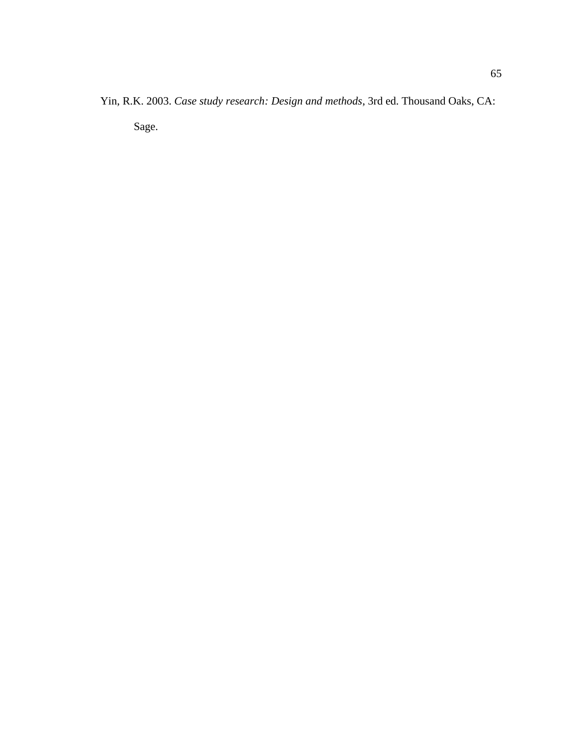Yin, R.K. 2003. *Case study research: Design and methods*, 3rd ed. Thousand Oaks, CA: Sage.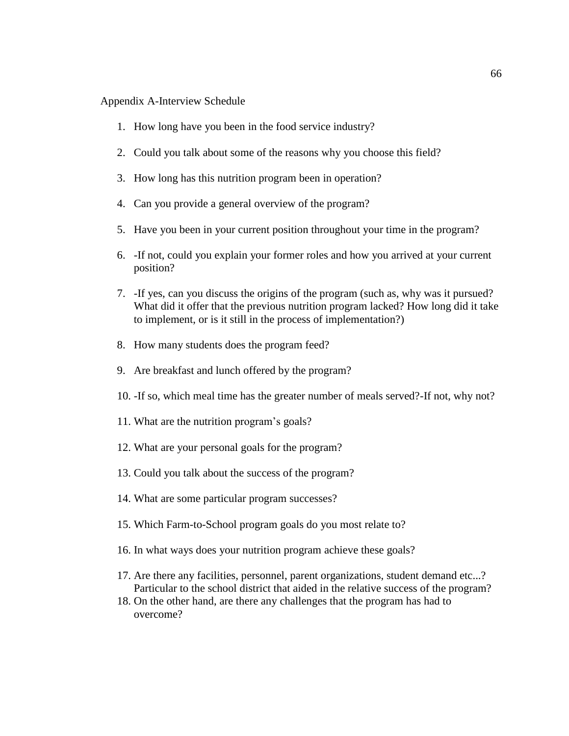## Appendix A-Interview Schedule

- 1. How long have you been in the food service industry?
- 2. Could you talk about some of the reasons why you choose this field?
- 3. How long has this nutrition program been in operation?
- 4. Can you provide a general overview of the program?
- 5. Have you been in your current position throughout your time in the program?
- 6. -If not, could you explain your former roles and how you arrived at your current position?
- 7. -If yes, can you discuss the origins of the program (such as, why was it pursued? What did it offer that the previous nutrition program lacked? How long did it take to implement, or is it still in the process of implementation?)
- 8. How many students does the program feed?
- 9. Are breakfast and lunch offered by the program?
- 10. -If so, which meal time has the greater number of meals served?-If not, why not?
- 11. What are the nutrition program's goals?
- 12. What are your personal goals for the program?
- 13. Could you talk about the success of the program?
- 14. What are some particular program successes?
- 15. Which Farm-to-School program goals do you most relate to?
- 16. In what ways does your nutrition program achieve these goals?
- 17. Are there any facilities, personnel, parent organizations, student demand etc...? Particular to the school district that aided in the relative success of the program?
- 18. On the other hand, are there any challenges that the program has had to overcome?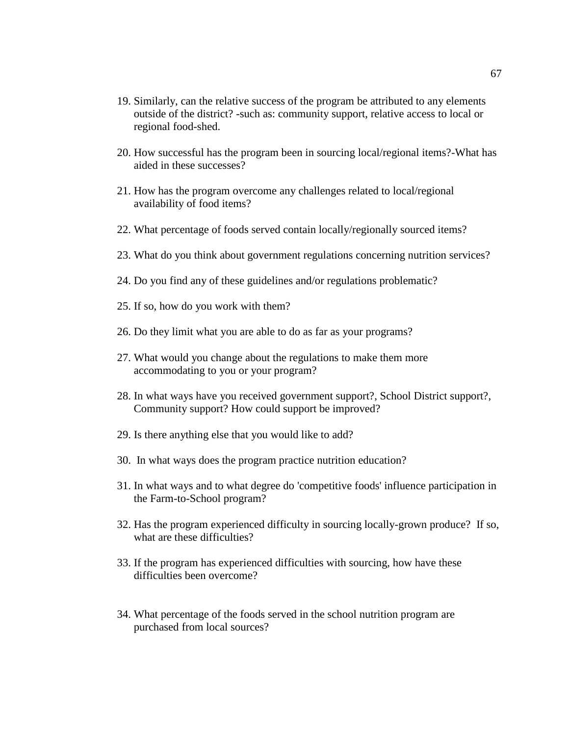- 19. Similarly, can the relative success of the program be attributed to any elements outside of the district? -such as: community support, relative access to local or regional food-shed.
- 20. How successful has the program been in sourcing local/regional items?-What has aided in these successes?
- 21. How has the program overcome any challenges related to local/regional availability of food items?
- 22. What percentage of foods served contain locally/regionally sourced items?
- 23. What do you think about government regulations concerning nutrition services?
- 24. Do you find any of these guidelines and/or regulations problematic?
- 25. If so, how do you work with them?
- 26. Do they limit what you are able to do as far as your programs?
- 27. What would you change about the regulations to make them more accommodating to you or your program?
- 28. In what ways have you received government support?, School District support?, Community support? How could support be improved?
- 29. Is there anything else that you would like to add?
- 30. In what ways does the program practice nutrition education?
- 31. In what ways and to what degree do 'competitive foods' influence participation in the Farm-to-School program?
- 32. Has the program experienced difficulty in sourcing locally-grown produce? If so, what are these difficulties?
- 33. If the program has experienced difficulties with sourcing, how have these difficulties been overcome?
- 34. What percentage of the foods served in the school nutrition program are purchased from local sources?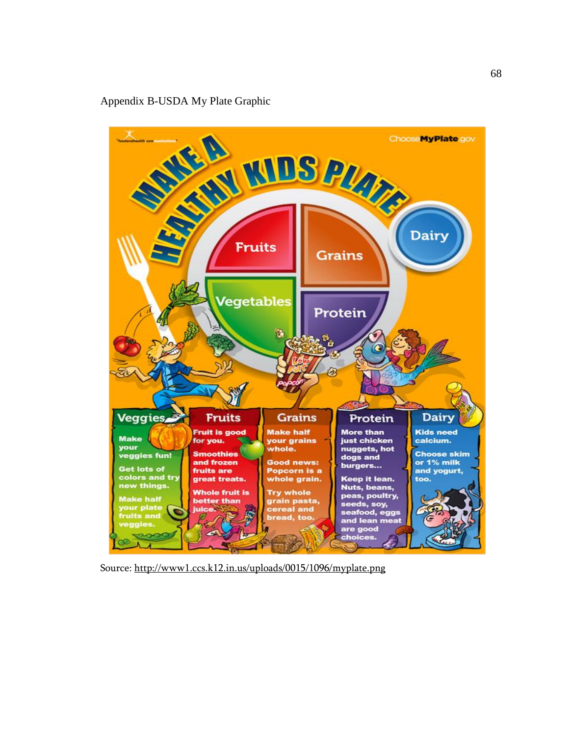## Appendix B-USDA My Plate Graphic



Source: <http://www1.ccs.k12.in.us/uploads/0015/1096/myplate.png>